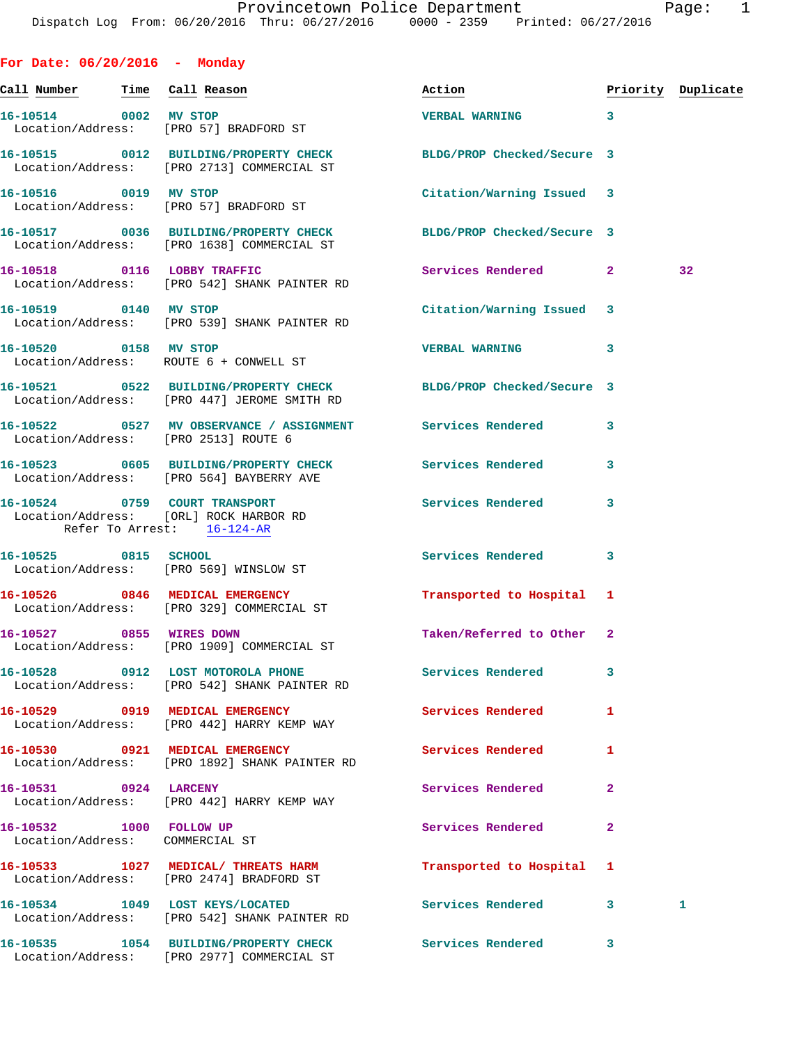**For Date: 06/20/2016 - Monday Call Number Time Call Reason Action Priority Duplicate 16-10514 0002 MV STOP VERBAL WARNING 3**  Location/Address: [PRO 57] BRADFORD ST **16-10515 0012 BUILDING/PROPERTY CHECK BLDG/PROP Checked/Secure 3**  Location/Address: [PRO 2713] COMMERCIAL ST **16-10516 0019 MV STOP Citation/Warning Issued 3**  Location/Address: [PRO 57] BRADFORD ST **16-10517 0036 BUILDING/PROPERTY CHECK BLDG/PROP Checked/Secure 3**  Location/Address: [PRO 1638] COMMERCIAL ST **16-10518 0116 LOBBY TRAFFIC Services Rendered 2 32**  Location/Address: [PRO 542] SHANK PAINTER RD **16-10519 0140 MV STOP Citation/Warning Issued 3**  Location/Address: [PRO 539] SHANK PAINTER RD **16-10520 0158 MV STOP VERBAL WARNING 3**  Location/Address: ROUTE 6 + CONWELL ST **16-10521 0522 BUILDING/PROPERTY CHECK BLDG/PROP Checked/Secure 3**  Location/Address: [PRO 447] JEROME SMITH RD **16-10522 0527 MV OBSERVANCE / ASSIGNMENT Services Rendered 3**  Location/Address: [PRO 2513] ROUTE 6 **16-10523 0605 BUILDING/PROPERTY CHECK Services Rendered 3**  Location/Address: [PRO 564] BAYBERRY AVE **16-10524 0759 COURT TRANSPORT Services Rendered 3**  Location/Address: [ORL] ROCK HARBOR RD Refer To Arrest: 16-124-AR **16-10525 0815 SCHOOL Services Rendered 3**  Location/Address: [PRO 569] WINSLOW ST **16-10526 0846 MEDICAL EMERGENCY Transported to Hospital 1**  Location/Address: [PRO 329] COMMERCIAL ST **16-10527 0855 WIRES DOWN Taken/Referred to Other 2**  Location/Address: [PRO 1909] COMMERCIAL ST **16-10528 0912 LOST MOTOROLA PHONE Services Rendered 3**  Location/Address: [PRO 542] SHANK PAINTER RD 16-10529 0919 MEDICAL EMERGENCY Services Rendered 1 Location/Address: [PRO 442] HARRY KEMP WAY **16-10530 0921 MEDICAL EMERGENCY Services Rendered 1**  Location/Address: [PRO 1892] SHANK PAINTER RD **16-10531 0924 LARCENY Services Rendered 2**  Location/Address: [PRO 442] HARRY KEMP WAY **16-10532 1000 FOLLOW UP Services Rendered 2**  Location/Address: COMMERCIAL ST **16-10533 1027 MEDICAL/ THREATS HARM Transported to Hospital 1**  Location/Address: [PRO 2474] BRADFORD ST

**16-10534 1049 LOST KEYS/LOCATED Services Rendered 3 1**  Location/Address: [PRO 542] SHANK PAINTER RD **16-10535 1054 BUILDING/PROPERTY CHECK Services Rendered 3** 

Location/Address: [PRO 2977] COMMERCIAL ST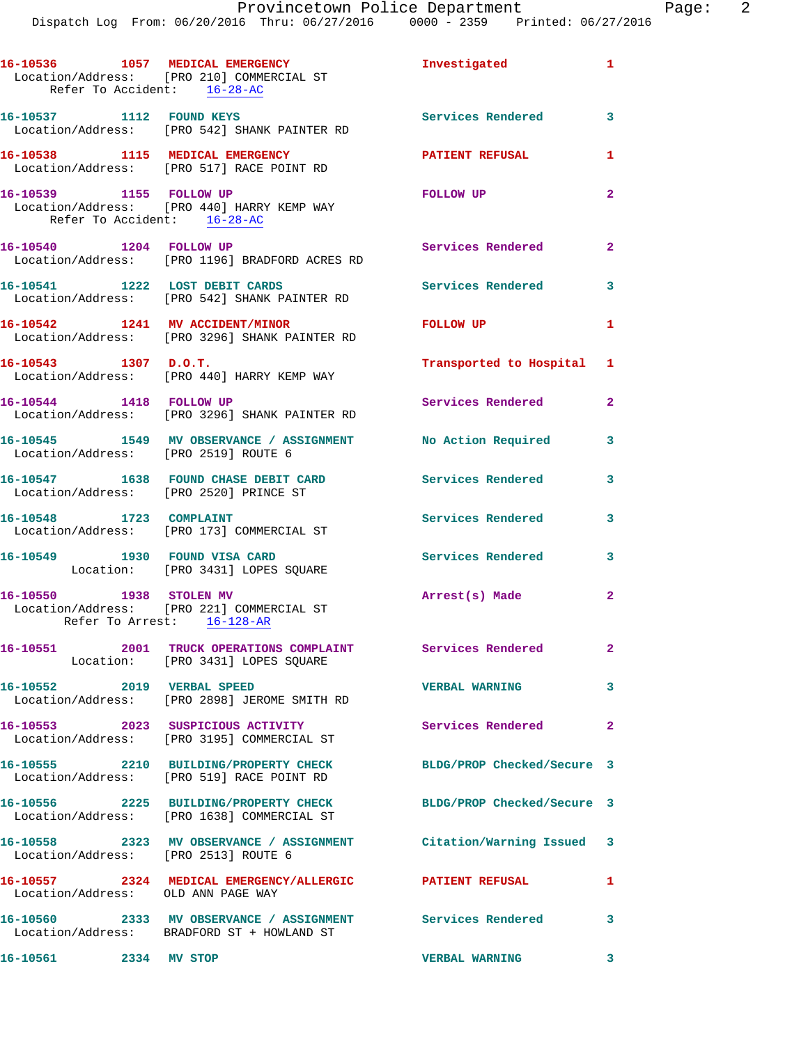| Refer To Accident: 16-28-AC                            | 16-10536 1057 MEDICAL EMERGENCY<br>Location/Address: [PRO 210] COMMERCIAL ST                             | Investigated               | $\mathbf{1}$   |
|--------------------------------------------------------|----------------------------------------------------------------------------------------------------------|----------------------------|----------------|
| 16-10537 1112 FOUND KEYS                               | Location/Address: [PRO 542] SHANK PAINTER RD                                                             | <b>Services Rendered</b> 3 |                |
|                                                        | 16-10538 1115 MEDICAL EMERGENCY<br>Location/Address: [PRO 517] RACE POINT RD                             | <b>PATIENT REFUSAL</b>     | 1              |
| 16-10539 1155 FOLLOW UP<br>Refer To Accident: 16-28-AC | Location/Address: [PRO 440] HARRY KEMP WAY                                                               | FOLLOW UP                  | $\overline{2}$ |
| 16-10540 1204 FOLLOW UP                                | Location/Address: [PRO 1196] BRADFORD ACRES RD                                                           | Services Rendered          | $\mathbf{2}$   |
| 16-10541 1222 LOST DEBIT CARDS                         | Location/Address: [PRO 542] SHANK PAINTER RD                                                             | <b>Services Rendered</b>   | 3              |
|                                                        | 16-10542 1241 MV ACCIDENT/MINOR<br>Location/Address: [PRO 3296] SHANK PAINTER RD                         | FOLLOW UP                  | $\mathbf{1}$   |
| 16-10543 1307 D.O.T.                                   | Location/Address: [PRO 440] HARRY KEMP WAY                                                               | Transported to Hospital 1  |                |
| 16-10544 1418 FOLLOW UP                                | Location/Address: [PRO 3296] SHANK PAINTER RD                                                            | Services Rendered          | $\overline{2}$ |
| Location/Address: [PRO 2519] ROUTE 6                   | 16-10545 1549 MV OBSERVANCE / ASSIGNMENT No Action Required                                              |                            | 3              |
| Location/Address: [PRO 2520] PRINCE ST                 | 16-10547 1638 FOUND CHASE DEBIT CARD                                                                     | Services Rendered          | 3              |
| 16-10548 1723 COMPLAINT                                | Location/Address: [PRO 173] COMMERCIAL ST                                                                | Services Rendered          | 3              |
| 16-10549 1930 FOUND VISA CARD                          | Location: [PRO 3431] LOPES SQUARE                                                                        | <b>Services Rendered</b>   | 3              |
| 16-10550 1938 STOLEN MV<br>Refer To Arrest: 16-128-AR  | Location/Address: [PRO 221] COMMERCIAL ST                                                                | Arrest(s) Made             | $\mathbf{2}$   |
|                                                        | 16-10551 2001 TRUCK OPERATIONS COMPLAINT Services Rendered<br>Location: [PRO 3431] LOPES SQUARE          |                            | $\mathbf{2}$   |
|                                                        | 16-10552 2019 VERBAL SPEED<br>Location/Address: [PRO 2898] JEROME SMITH RD                               | <b>VERBAL WARNING</b>      | 3              |
|                                                        | 16-10553 2023 SUSPICIOUS ACTIVITY<br>Location/Address: [PRO 3195] COMMERCIAL ST                          | <b>Services Rendered</b>   | $\mathbf{2}$   |
|                                                        | 16-10555 2210 BUILDING/PROPERTY CHECK<br>Location/Address: [PRO 519] RACE POINT RD                       | BLDG/PROP Checked/Secure 3 |                |
|                                                        | 16-10556 2225 BUILDING/PROPERTY CHECK<br>Location/Address: [PRO 1638] COMMERCIAL ST                      | BLDG/PROP Checked/Secure 3 |                |
| Location/Address: [PRO 2513] ROUTE 6                   | 16-10558 2323 MV OBSERVANCE / ASSIGNMENT Citation/Warning Issued 3                                       |                            |                |
| Location/Address: OLD ANN PAGE WAY                     | 16-10557 2324 MEDICAL EMERGENCY/ALLERGIC PATIENT REFUSAL                                                 |                            | $\mathbf{1}$   |
|                                                        | 16-10560 2333 MV OBSERVANCE / ASSIGNMENT Services Rendered<br>Location/Address: BRADFORD ST + HOWLAND ST |                            | 3              |
| 16-10561 2334 MV STOP                                  |                                                                                                          | <b>VERBAL WARNING</b>      | $\mathbf{3}$   |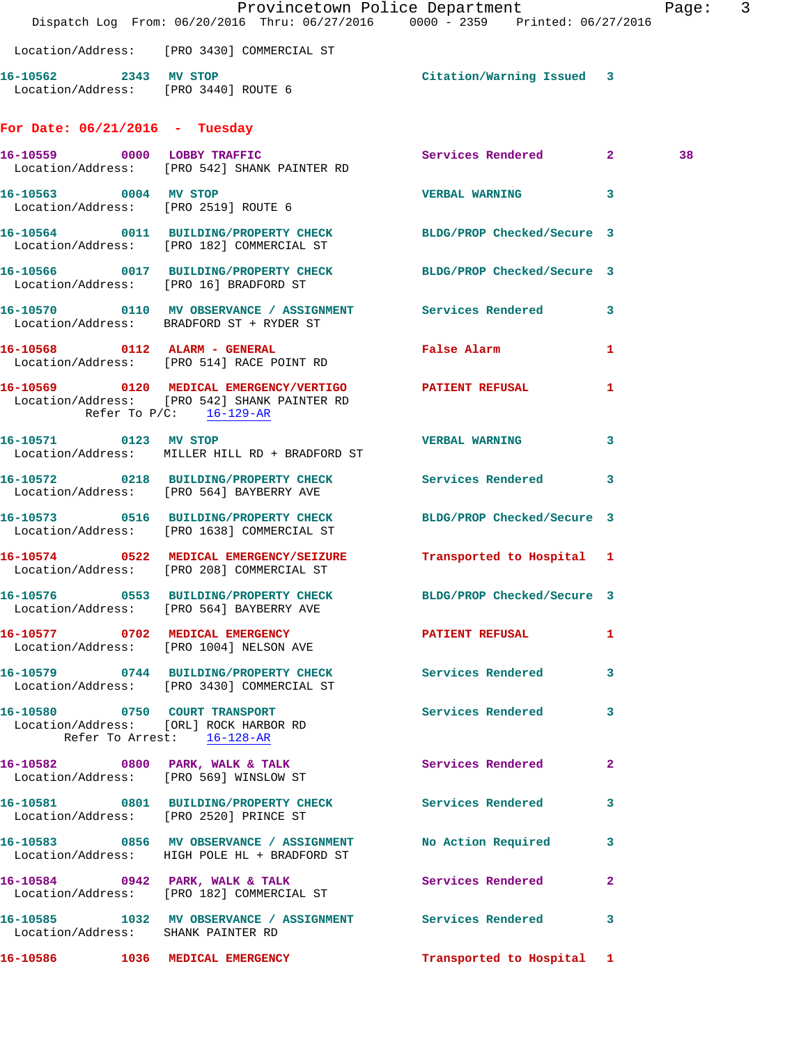|                                      | Dispatch Log From: 06/20/2016 Thru: 06/27/2016 0000 - 2359 Printed: 06/27/2016                                 | Provincetown Police Department  |   | Page: | $\overline{3}$ |
|--------------------------------------|----------------------------------------------------------------------------------------------------------------|---------------------------------|---|-------|----------------|
|                                      | Location/Address: [PRO 3430] COMMERCIAL ST                                                                     |                                 |   |       |                |
| 16-10562 2343 MV STOP                | Location/Address: [PRO 3440] ROUTE 6                                                                           | Citation/Warning Issued 3       |   |       |                |
| For Date: $06/21/2016$ - Tuesday     |                                                                                                                |                                 |   |       |                |
|                                      | 16-10559 0000 LOBBY TRAFFIC<br>Location/Address: [PRO 542] SHANK PAINTER RD                                    | Services Rendered 2             |   | 38    |                |
| Location/Address: [PRO 2519] ROUTE 6 | 16-10563 0004 MV STOP                                                                                          | <b>VERBAL WARNING</b>           | 3 |       |                |
|                                      | 16-10564 0011 BUILDING/PROPERTY CHECK BLDG/PROP Checked/Secure 3<br>Location/Address: [PRO 182] COMMERCIAL ST  |                                 |   |       |                |
|                                      | 16-10566 0017 BUILDING/PROPERTY CHECK BLDG/PROP Checked/Secure 3<br>Location/Address: [PRO 16] BRADFORD ST     |                                 |   |       |                |
|                                      | 16-10570 0110 MV OBSERVANCE / ASSIGNMENT Services Rendered 3<br>Location/Address: BRADFORD ST + RYDER ST       |                                 |   |       |                |
|                                      | 16-10568 0112 ALARM - GENERAL<br>Location/Address: [PRO 514] RACE POINT RD                                     | False Alarm <b>Execute 1996</b> | 1 |       |                |
| Refer To P/C: 16-129-AR              | 16-10569 0120 MEDICAL EMERGENCY/VERTIGO PATIENT REFUSAL<br>Location/Address: [PRO 542] SHANK PAINTER RD        |                                 | 1 |       |                |
| 16-10571 0123 MV STOP                | Location/Address: MILLER HILL RD + BRADFORD ST                                                                 | VERBAL WARNING 3                |   |       |                |
|                                      | 16-10572 0218 BUILDING/PROPERTY CHECK Services Rendered<br>Location/Address: [PRO 564] BAYBERRY AVE            |                                 | 3 |       |                |
|                                      | 16-10573 0516 BUILDING/PROPERTY CHECK BLDG/PROP Checked/Secure 3<br>Location/Address: [PRO 1638] COMMERCIAL ST |                                 |   |       |                |
|                                      | 16-10574 0522 MEDICAL EMERGENCY/SEIZURE<br>Location/Address: [PRO 208] COMMERCIAL ST                           | Transported to Hospital 1       |   |       |                |
|                                      | 16-10576 0553 BUILDING/PROPERTY CHECK<br>Location/Address: [PRO 564] BAYBERRY AVE                              | BLDG/PROP Checked/Secure 3      |   |       |                |
|                                      | 16-10577 0702 MEDICAL EMERGENCY<br>Location/Address: [PRO 1004] NELSON AVE                                     | PATIENT REFUSAL                 | 1 |       |                |
|                                      | 16-10579 0744 BUILDING/PROPERTY CHECK Services Rendered 3<br>Location/Address: [PRO 3430] COMMERCIAL ST        |                                 |   |       |                |
| Refer To Arrest: 16-128-AR           | 16-10580 0750 COURT TRANSPORT<br>Location/Address: [ORL] ROCK HARBOR RD                                        | <b>Services Rendered</b>        | 3 |       |                |
|                                      | 16-10582 0800 PARK, WALK & TALK 3 Services Rendered 2<br>Location/Address: [PRO 569] WINSLOW ST                |                                 |   |       |                |
|                                      | 16-10581 0801 BUILDING/PROPERTY CHECK Services Rendered<br>Location/Address: [PRO 2520] PRINCE ST              |                                 | 3 |       |                |
|                                      | 16-10583 0856 MV OBSERVANCE / ASSIGNMENT NO Action Required 3<br>Location/Address: HIGH POLE HL + BRADFORD ST  |                                 |   |       |                |
|                                      | 16-10584 0942 PARK, WALK & TALK<br>Location/Address: [PRO 182] COMMERCIAL ST                                   | Services Rendered               | 2 |       |                |
| Location/Address: SHANK PAINTER RD   | 16-10585 1032 MV OBSERVANCE / ASSIGNMENT Services Rendered                                                     |                                 | 3 |       |                |
|                                      | 16-10586 1036 MEDICAL EMERGENCY                                                                                | Transported to Hospital 1       |   |       |                |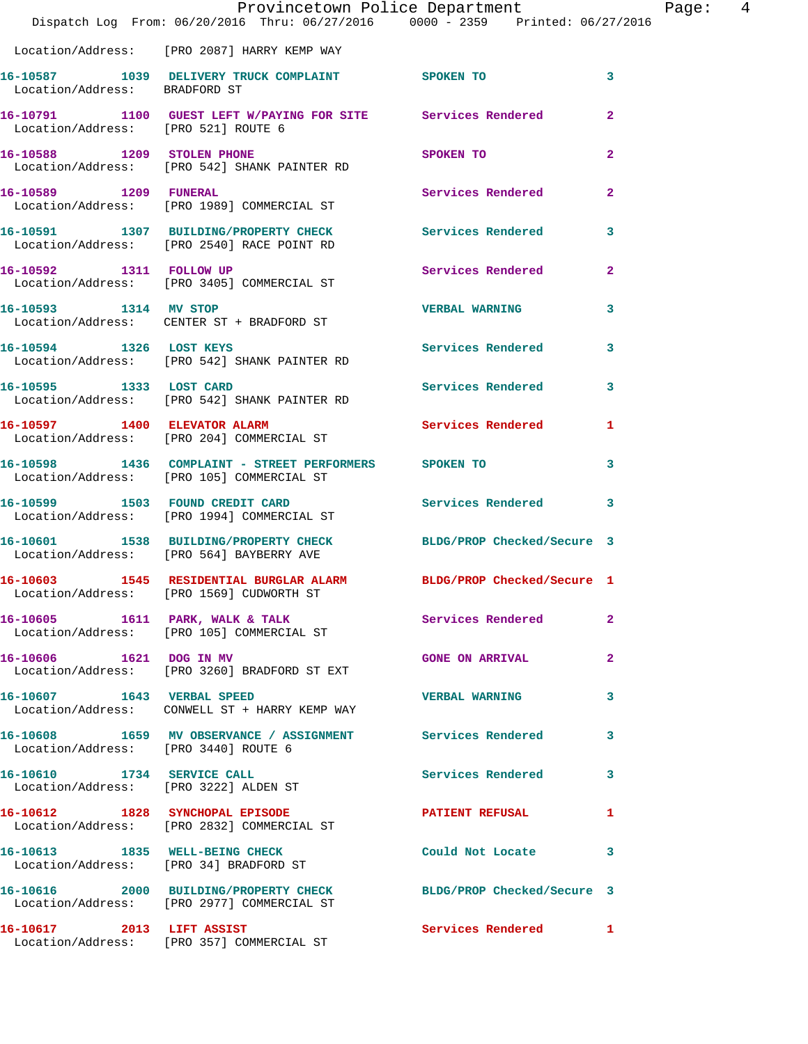|                                      | Dispatch Log From: 06/20/2016 Thru: 06/27/2016 0000 - 2359 Printed: 06/27/2016                                 | Provincetown Police Department |              | Page: 4 |  |
|--------------------------------------|----------------------------------------------------------------------------------------------------------------|--------------------------------|--------------|---------|--|
|                                      | Location/Address: [PRO 2087] HARRY KEMP WAY                                                                    |                                |              |         |  |
| Location/Address: BRADFORD ST        | 16-10587 1039 DELIVERY TRUCK COMPLAINT SPOKEN TO                                                               |                                | $\mathbf{3}$ |         |  |
| Location/Address: [PRO 521] ROUTE 6  | 16-10791 1100 GUEST LEFT W/PAYING FOR SITE Services Rendered                                                   |                                | $\mathbf{2}$ |         |  |
|                                      | 16-10588 1209 STOLEN PHONE<br>Location/Address: [PRO 542] SHANK PAINTER RD                                     | SPOKEN TO                      | $\mathbf{2}$ |         |  |
|                                      | 16-10589 1209 FUNERAL<br>Location/Address: [PRO 1989] COMMERCIAL ST                                            | Services Rendered              | $\mathbf{2}$ |         |  |
|                                      | 16-10591 1307 BUILDING/PROPERTY CHECK Services Rendered<br>Location/Address: [PRO 2540] RACE POINT RD          |                                | $\mathbf{3}$ |         |  |
|                                      | 16-10592 1311 FOLLOW UP<br>Location/Address: [PRO 3405] COMMERCIAL ST                                          | Services Rendered              | $\mathbf{2}$ |         |  |
| 16-10593 1314 MV STOP                | Location/Address: CENTER ST + BRADFORD ST                                                                      | <b>VERBAL WARNING</b>          | 3            |         |  |
|                                      | 16-10594 1326 LOST KEYS<br>Location/Address: [PRO 542] SHANK PAINTER RD                                        | Services Rendered 3            |              |         |  |
| 16-10595 1333 LOST CARD              | Location/Address: [PRO 542] SHANK PAINTER RD                                                                   | Services Rendered 3            |              |         |  |
|                                      | 16-10597 1400 ELEVATOR ALARM<br>Location/Address: [PRO 204] COMMERCIAL ST                                      | Services Rendered 1            |              |         |  |
|                                      | 16-10598 1436 COMPLAINT - STREET PERFORMERS SPOKEN TO<br>Location/Address: [PRO 105] COMMERCIAL ST             |                                | 3            |         |  |
|                                      | 16-10599 1503 FOUND CREDIT CARD<br>Location/Address: [PRO 1994] COMMERCIAL ST                                  | Services Rendered 3            |              |         |  |
|                                      | 16-10601 1538 BUILDING/PROPERTY CHECK BLDG/PROP Checked/Secure 3<br>Location/Address: [PRO 564] BAYBERRY AVE   |                                |              |         |  |
|                                      | 16-10603 1545 RESIDENTIAL BURGLAR ALARM BLDG/PROP Checked/Secure 1<br>Location/Address: [PRO 1569] CUDWORTH ST |                                |              |         |  |
|                                      | 16-10605 1611 PARK, WALK & TALK Services Rendered<br>Location/Address: [PRO 105] COMMERCIAL ST                 |                                | $\mathbf{2}$ |         |  |
|                                      | 16-10606 1621 DOG IN MV<br>Location/Address: [PRO 3260] BRADFORD ST EXT                                        | <b>GONE ON ARRIVAL</b>         | $\mathbf{2}$ |         |  |
|                                      | 16-10607 1643 VERBAL SPEED<br>Location/Address: CONWELL ST + HARRY KEMP WAY                                    | <b>VERBAL WARNING</b>          | $\mathbf{3}$ |         |  |
| Location/Address: [PRO 3440] ROUTE 6 | 16-10608 1659 MV OBSERVANCE / ASSIGNMENT Services Rendered 3                                                   |                                |              |         |  |
|                                      | 16-10610 1734 SERVICE CALL<br>Location/Address: [PRO 3222] ALDEN ST                                            | Services Rendered 3            |              |         |  |
|                                      | 16-10612 1828 SYNCHOPAL EPISODE<br>Location/Address: [PRO 2832] COMMERCIAL ST                                  | PATIENT REFUSAL 1              |              |         |  |
|                                      | 16-10613 1835 WELL-BEING CHECK<br>Location/Address: [PRO 34] BRADFORD ST                                       | Could Not Locate 3             |              |         |  |
|                                      | 16-10616 2000 BUILDING/PROPERTY CHECK BLDG/PROP Checked/Secure 3<br>Location/Address: [PRO 2977] COMMERCIAL ST |                                |              |         |  |
|                                      | 16-10617 2013 LIFT ASSIST<br>Location/Address: [PRO 357] COMMERCIAL ST                                         | Services Rendered 1            |              |         |  |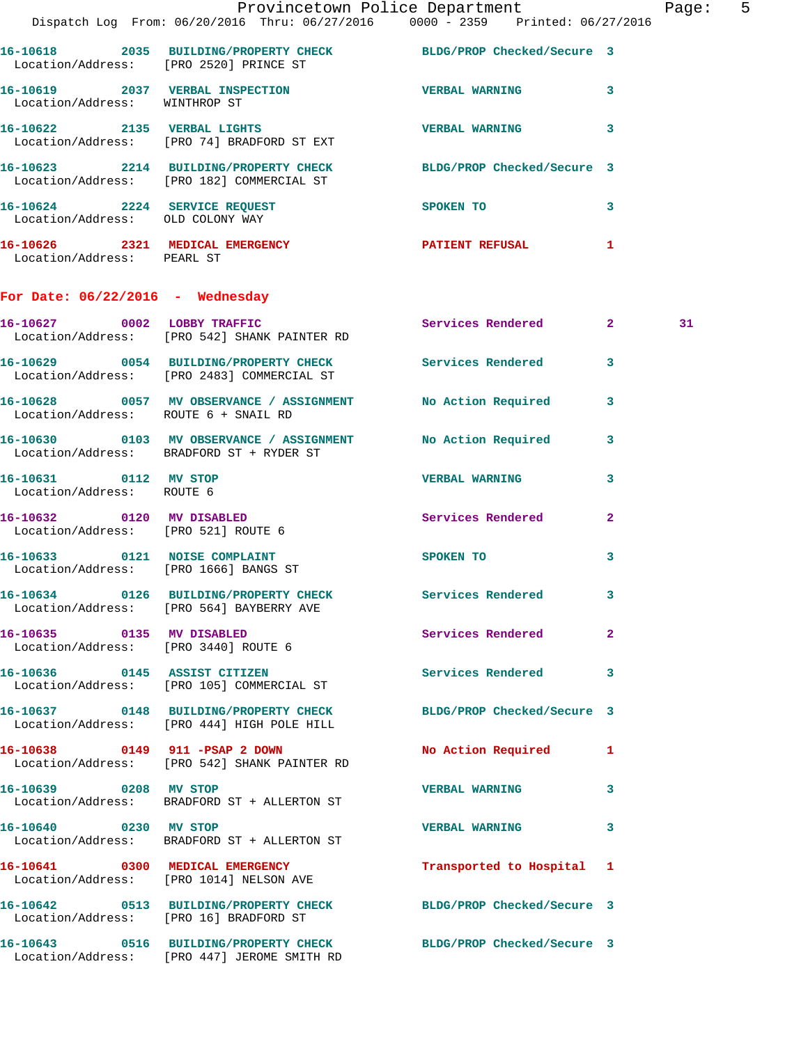|                                                    |                                                                                                                 | Provincetown Police Department The Rage: 5                                                                    |                         |    |  |
|----------------------------------------------------|-----------------------------------------------------------------------------------------------------------------|---------------------------------------------------------------------------------------------------------------|-------------------------|----|--|
|                                                    | Dispatch Log From: 06/20/2016 Thru: 06/27/2016 0000 - 2359 Printed: 06/27/2016                                  |                                                                                                               |                         |    |  |
|                                                    | 16-10618 2035 BUILDING/PROPERTY CHECK BLDG/PROP Checked/Secure 3<br>Location/Address: [PRO 2520] PRINCE ST      |                                                                                                               |                         |    |  |
| Location/Address: WINTHROP ST                      | 16-10619 2037 VERBAL INSPECTION VERBAL WARNING 3                                                                |                                                                                                               |                         |    |  |
|                                                    | 16-10622 2135 VERBAL LIGHTS<br>Location/Address: [PRO 74] BRADFORD ST EXT                                       | VERBAL WARNING 3                                                                                              |                         |    |  |
|                                                    | 16-10623 2214 BUILDING/PROPERTY CHECK BLDG/PROP Checked/Secure 3<br>Location/Address: [PRO 182] COMMERCIAL ST   |                                                                                                               |                         |    |  |
|                                                    | 16-10624 2224 SERVICE REQUEST<br>Location/Address: OLD COLONY WAY                                               | SPOKEN TO                                                                                                     | $\overline{\mathbf{3}}$ |    |  |
| Location/Address: PEARL ST                         | 16-10626 2321 MEDICAL EMERGENCY PATIENT REFUSAL 1                                                               |                                                                                                               |                         |    |  |
| For Date: $06/22/2016$ - Wednesday                 |                                                                                                                 |                                                                                                               |                         |    |  |
|                                                    | 16-10627 0002 LOBBY TRAFFIC Services Rendered 2<br>Location/Address: [PRO 542] SHANK PAINTER RD                 |                                                                                                               |                         | 31 |  |
|                                                    | 16-10629 0054 BUILDING/PROPERTY CHECK Services Rendered 3<br>Location/Address: [PRO 2483] COMMERCIAL ST         |                                                                                                               |                         |    |  |
|                                                    | 16-10628 0057 MV OBSERVANCE / ASSIGNMENT No Action Required 3<br>Location/Address: ROUTE 6 + SNAIL RD           |                                                                                                               |                         |    |  |
|                                                    | 16-10630 0103 MV OBSERVANCE / ASSIGNMENT No Action Required 3<br>Location/Address: BRADFORD ST + RYDER ST       |                                                                                                               |                         |    |  |
| 16-10631 0112 MV STOP<br>Location/Address: ROUTE 6 |                                                                                                                 | <b>VERBAL WARNING</b>                                                                                         | 3                       |    |  |
| Location/Address: [PRO 521] ROUTE 6                | 16-10632 0120 MV DISABLED                                                                                       | Services Rendered 2                                                                                           |                         |    |  |
|                                                    | 16-10633 0121 NOISE COMPLAINT<br>Location/Address: [PRO 1666] BANGS ST                                          | SPOKEN TO AND TO A STATE OF THE STATE OF THE STATE OF THE STATE OF THE STATE OF THE STATE OF THE STATE OF THE | $\mathbf{3}$            |    |  |
|                                                    | 16-10634 0126 BUILDING/PROPERTY CHECK Services Rendered 3<br>Location/Address: [PRO 564] BAYBERRY AVE           |                                                                                                               |                         |    |  |
|                                                    | 16-10635 0135 MV DISABLED<br>Location/Address: [PRO 3440] ROUTE 6                                               | Services Rendered                                                                                             | $\overline{2}$          |    |  |
|                                                    | 16-10636 0145 ASSIST CITIZEN<br>Location/Address: [PRO 105] COMMERCIAL ST                                       | Services Rendered 3                                                                                           |                         |    |  |
|                                                    | 16-10637 0148 BUILDING/PROPERTY CHECK BLDG/PROP Checked/Secure 3<br>Location/Address: [PRO 444] HIGH POLE HILL  |                                                                                                               |                         |    |  |
|                                                    | 16-10638 0149 911 -PSAP 2 DOWN<br>Location/Address: [PRO 542] SHANK PAINTER RD                                  | No Action Required 1                                                                                          |                         |    |  |
|                                                    | 16-10639 0208 MV STOP<br>Location/Address: BRADFORD ST + ALLERTON ST                                            | VERBAL WARNING 3                                                                                              |                         |    |  |
| 16-10640 0230 MV STOP                              | Location/Address: BRADFORD ST + ALLERTON ST                                                                     | VERBAL WARNING 3                                                                                              |                         |    |  |
|                                                    | 16-10641 0300 MEDICAL EMERGENCY<br>Location/Address: [PRO 1014] NELSON AVE                                      | Transported to Hospital 1                                                                                     |                         |    |  |
|                                                    | 16-10642 0513 BUILDING/PROPERTY CHECK BLDG/PROP Checked/Secure 3<br>Location/Address: [PRO 16] BRADFORD ST      |                                                                                                               |                         |    |  |
|                                                    | 16-10643 0516 BUILDING/PROPERTY CHECK BLDG/PROP Checked/Secure 3<br>Location/Address: [PRO 447] JEROME SMITH RD |                                                                                                               |                         |    |  |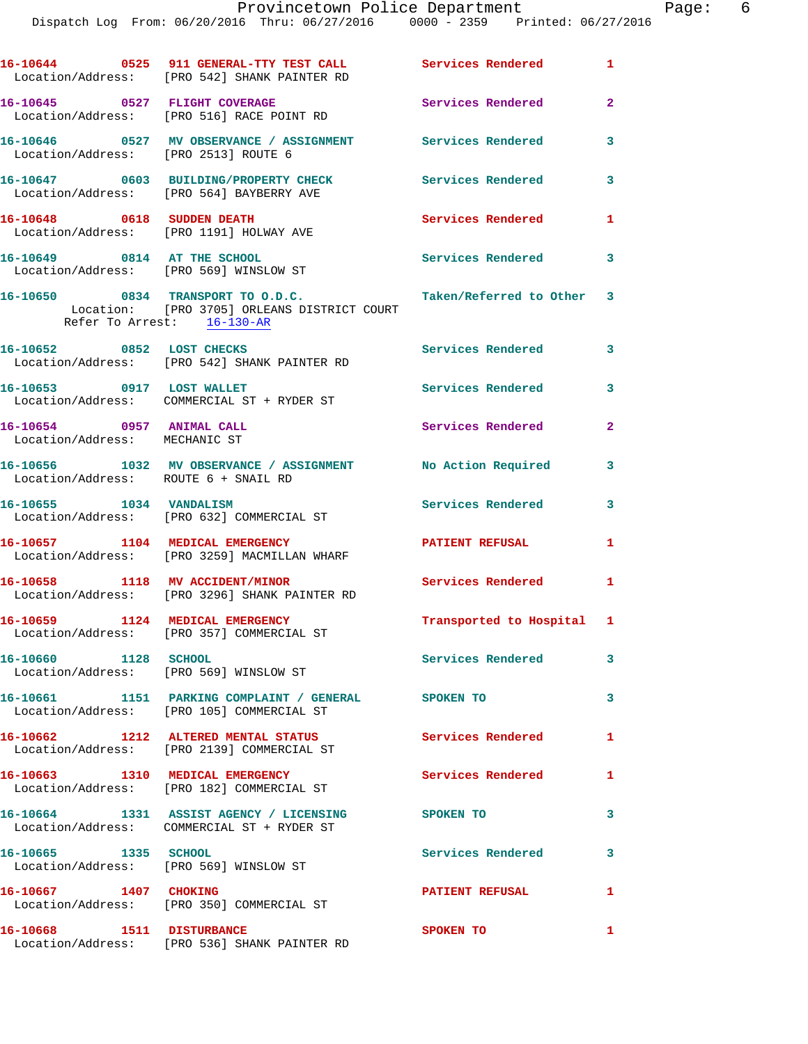|                                                            | 16-10644 0525 911 GENERAL-TTY TEST CALL Services Rendered 1<br>Location/Address: [PRO 542] SHANK PAINTER RD    |                            |                |
|------------------------------------------------------------|----------------------------------------------------------------------------------------------------------------|----------------------------|----------------|
|                                                            | 16-10645 0527 FLIGHT COVERAGE<br>Location/Address: [PRO 516] RACE POINT RD                                     | Services Rendered          | $\overline{2}$ |
| Location/Address: [PRO 2513] ROUTE 6                       | 16-10646  0527 MV OBSERVANCE / ASSIGNMENT Services Rendered                                                    |                            | 3              |
|                                                            | 16-10647 0603 BUILDING/PROPERTY CHECK<br>Location/Address: [PRO 564] BAYBERRY AVE                              | Services Rendered          | 3              |
| 16-10648 0618 SUDDEN DEATH                                 | Location/Address: [PRO 1191] HOLWAY AVE                                                                        | Services Rendered          | $\mathbf{1}$   |
| 16-10649 0814 AT THE SCHOOL                                | Location/Address: [PRO 569] WINSLOW ST                                                                         | <b>Services Rendered</b> 3 |                |
|                                                            | 16-10650 0834 TRANSPORT TO O.D.C.<br>Location: [PRO 3705] ORLEANS DISTRICT COURT<br>Refer To Arrest: 16-130-AR | Taken/Referred to Other 3  |                |
| 16-10652 0852 LOST CHECKS                                  | Location/Address: [PRO 542] SHANK PAINTER RD                                                                   | Services Rendered 3        |                |
| 16-10653 0917 LOST WALLET                                  | Location/Address: COMMERCIAL ST + RYDER ST                                                                     | Services Rendered          | 3              |
| 16-10654 0957 ANIMAL CALL<br>Location/Address: MECHANIC ST |                                                                                                                | Services Rendered          | $\mathbf{2}$   |
| Location/Address: ROUTE 6 + SNAIL RD                       | 16-10656 1032 MV OBSERVANCE / ASSIGNMENT No Action Required                                                    |                            | 3              |
| 16-10655 1034 VANDALISM                                    | Location/Address: [PRO 632] COMMERCIAL ST                                                                      | Services Rendered          | 3              |
|                                                            | 16-10657 1104 MEDICAL EMERGENCY<br>Location/Address: [PRO 3259] MACMILLAN WHARF                                | <b>PATIENT REFUSAL</b>     | 1              |
| 16-10658 1118 MV ACCIDENT/MINOR                            | Location/Address: [PRO 3296] SHANK PAINTER RD                                                                  | Services Rendered          | $\mathbf{1}$   |
| 16-10659 1124 MEDICAL EMERGENCY                            | Location/Address: [PRO 357] COMMERCIAL ST                                                                      | Transported to Hospital 1  |                |
| 16-10660 1128 SCHOOL                                       | Location/Address: [PRO 569] WINSLOW ST                                                                         | Services Rendered          | 3              |
|                                                            | 16-10661 1151 PARKING COMPLAINT / GENERAL SPOKEN TO<br>Location/Address: [PRO 105] COMMERCIAL ST               |                            | 3              |
|                                                            | 16-10662 1212 ALTERED MENTAL STATUS<br>Location/Address: [PRO 2139] COMMERCIAL ST                              | Services Rendered          | 1              |
|                                                            | 16-10663 1310 MEDICAL EMERGENCY<br>Location/Address: [PRO 182] COMMERCIAL ST                                   | Services Rendered          | 1              |
|                                                            | 16-10664 1331 ASSIST AGENCY / LICENSING<br>Location/Address: COMMERCIAL ST + RYDER ST                          | SPOKEN TO                  | 3              |
|                                                            | Location/Address: [PRO 569] WINSLOW ST                                                                         | Services Rendered          | 3              |
| 16-10667 1407 CHOKING                                      | Location/Address: [PRO 350] COMMERCIAL ST                                                                      | <b>PATIENT REFUSAL</b>     | 1              |
| 16-10668 1511 DISTURBANCE                                  | Location/Address: [PRO 536] SHANK PAINTER RD                                                                   | <b>SPOKEN TO</b>           | 1              |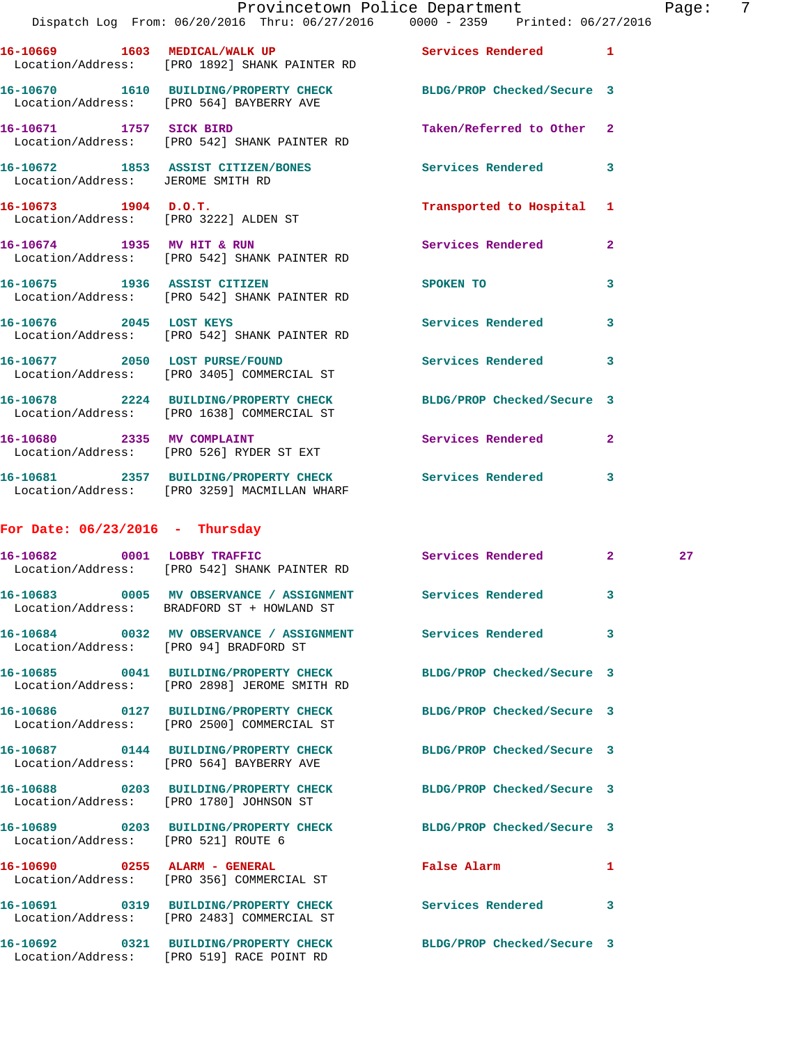|                                                                 | Provincetown Police Department<br>Dispatch Log From: 06/20/2016 Thru: 06/27/2016 0000 - 2359 Printed: 06/27/2016 |                            | 7<br>Page:              |
|-----------------------------------------------------------------|------------------------------------------------------------------------------------------------------------------|----------------------------|-------------------------|
|                                                                 | 16-10669 1603 MEDICAL/WALK UP<br>Location/Address: [PRO 1892] SHANK PAINTER RD                                   | Services Rendered 1        |                         |
|                                                                 | 16-10670 1610 BUILDING/PROPERTY CHECK<br>Location/Address: [PRO 564] BAYBERRY AVE                                | BLDG/PROP Checked/Secure 3 |                         |
|                                                                 | 16-10671 1757 SICK BIRD<br>Location/Address: [PRO 542] SHANK PAINTER RD                                          | Taken/Referred to Other 2  |                         |
| Location/Address: JEROME SMITH RD                               | 16-10672 1853 ASSIST CITIZEN/BONES                                                                               | Services Rendered          | $\overline{\mathbf{3}}$ |
| $16-10673$ 1904 D.O.T.<br>Location/Address: [PRO 3222] ALDEN ST |                                                                                                                  | Transported to Hospital 1  |                         |
|                                                                 | 16-10674 1935 MV HIT & RUN<br>Location/Address: [PRO 542] SHANK PAINTER RD                                       | Services Rendered          | $\mathbf{2}$            |
|                                                                 | 16-10675 1936 ASSIST CITIZEN<br>Location/Address: [PRO 542] SHANK PAINTER RD                                     | SPOKEN TO                  | 3                       |
|                                                                 | 16-10676 2045 LOST KEYS<br>Location/Address: [PRO 542] SHANK PAINTER RD                                          | <b>Services Rendered</b>   | $\overline{\mathbf{3}}$ |
|                                                                 | 16-10677 2050 LOST PURSE/FOUND<br>Location/Address: [PRO 3405] COMMERCIAL ST                                     | <b>Services Rendered</b>   | $\overline{\mathbf{3}}$ |
|                                                                 | 16-10678 2224 BUILDING/PROPERTY CHECK<br>Location/Address: [PRO 1638] COMMERCIAL ST                              | BLDG/PROP Checked/Secure 3 |                         |
|                                                                 | 16-10680 2335 MV COMPLAINT<br>Location/Address: [PRO 526] RYDER ST EXT                                           | Services Rendered 2        |                         |
|                                                                 | 16-10681 2357 BUILDING/PROPERTY CHECK                                                                            | Services Rendered          | 3                       |

## **For Date: 06/23/2016 - Thursday**

Location/Address: [PRO 3259] MACMILLAN WHARF

|                                        | 16-10682 0001 LOBBY TRAFFIC<br>Location/Address: [PRO 542] SHANK PAINTER RD                                               | Services Rendered  | $\overline{\mathbf{2}}$ and $\overline{\mathbf{2}}$ and $\overline{\mathbf{2}}$ | 27 |
|----------------------------------------|---------------------------------------------------------------------------------------------------------------------------|--------------------|---------------------------------------------------------------------------------|----|
|                                        | 16-10683 0005 MV OBSERVANCE / ASSIGNMENT Services Rendered<br>Location/Address: BRADFORD ST + HOWLAND ST                  |                    | 3                                                                               |    |
| Location/Address: [PRO 94] BRADFORD ST | 16-10684 0032 MV OBSERVANCE / ASSIGNMENT Services Rendered                                                                |                    | 3                                                                               |    |
|                                        | 16-10685 0041 BUILDING/PROPERTY CHECK BLDG/PROP Checked/Secure 3<br>Location/Address: [PRO 2898] JEROME SMITH RD          |                    |                                                                                 |    |
|                                        | 16-10686      0127 BUILDING/PROPERTY CHECK       BLDG/PROP Checked/Secure 3<br>Location/Address: [PRO 2500] COMMERCIAL ST |                    |                                                                                 |    |
|                                        | 16-10687 0144 BUILDING/PROPERTY CHECK BLDG/PROP Checked/Secure 3<br>Location/Address: [PRO 564] BAYBERRY AVE              |                    |                                                                                 |    |
|                                        | 16-10688 0203 BUILDING/PROPERTY CHECK BLDG/PROP Checked/Secure 3<br>Location/Address: [PRO 1780] JOHNSON ST               |                    |                                                                                 |    |
| Location/Address: [PRO 521] ROUTE 6    | 16-10689 0203 BUILDING/PROPERTY CHECK BLDG/PROP Checked/Secure 3                                                          |                    |                                                                                 |    |
|                                        | 16-10690 0255 ALARM - GENERAL<br>Location/Address: [PRO 356] COMMERCIAL ST                                                | <b>False Alarm</b> | $\mathbf{1}$                                                                    |    |
|                                        | 16-10691      0319  BUILDING/PROPERTY CHECK       Services Rendered<br>Location/Address: [PRO 2483] COMMERCIAL ST         |                    | 3                                                                               |    |
|                                        | 16-10692 0321 BUILDING/PROPERTY CHECK BLDG/PROP Checked/Secure 3<br>Location/Address: [PRO 519] RACE POINT RD             |                    |                                                                                 |    |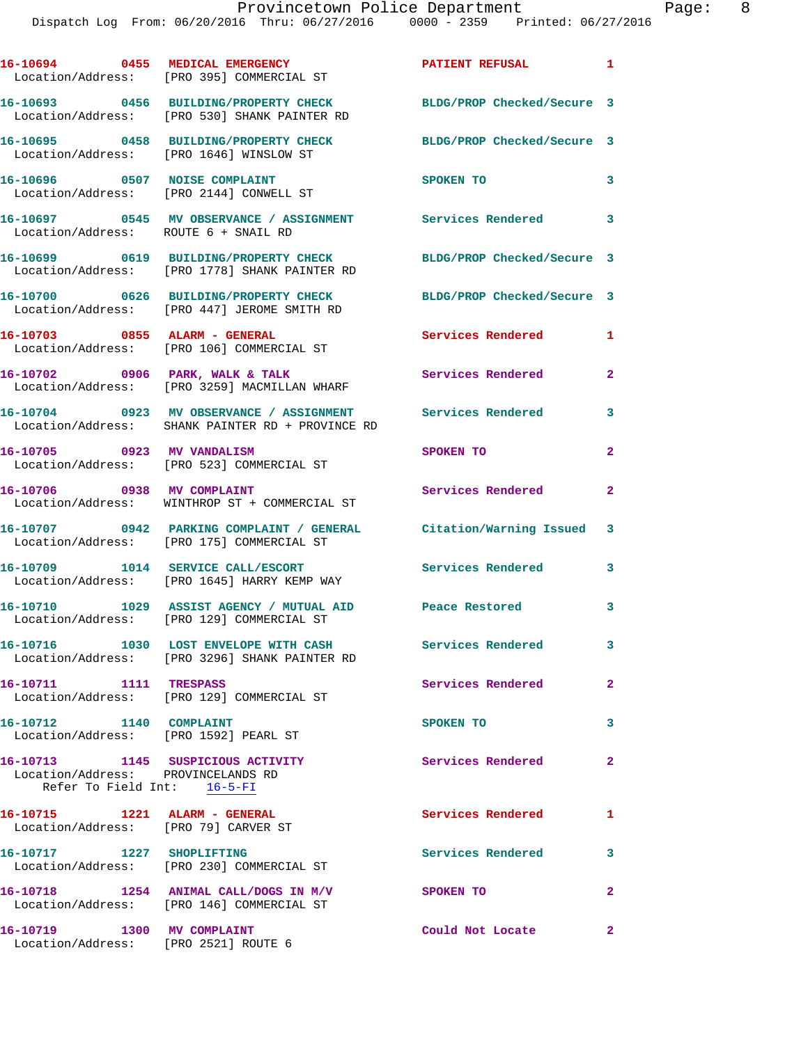|                            | 16-10694 0455 MEDICAL EMERGENCY<br>Location/Address: [PRO 395] COMMERCIAL ST                                     | PATIENT REFUSAL 1          |              |
|----------------------------|------------------------------------------------------------------------------------------------------------------|----------------------------|--------------|
|                            | 16-10693 0456 BUILDING/PROPERTY CHECK<br>Location/Address: [PRO 530] SHANK PAINTER RD                            | BLDG/PROP Checked/Secure 3 |              |
|                            | 16-10695 0458 BUILDING/PROPERTY CHECK<br>Location/Address: [PRO 1646] WINSLOW ST                                 | BLDG/PROP Checked/Secure 3 |              |
|                            | 16-10696 0507 NOISE COMPLAINT<br>Location/Address: [PRO 2144] CONWELL ST                                         | SPOKEN TO                  | 3            |
|                            | 16-10697 0545 MV OBSERVANCE / ASSIGNMENT Services Rendered<br>Location/Address: ROUTE 6 + SNAIL RD               |                            | 3            |
|                            | 16-10699 0619 BUILDING/PROPERTY CHECK<br>Location/Address: [PRO 1778] SHANK PAINTER RD                           | BLDG/PROP Checked/Secure 3 |              |
|                            | 16-10700 0626 BUILDING/PROPERTY CHECK<br>Location/Address: [PRO 447] JEROME SMITH RD                             | BLDG/PROP Checked/Secure 3 |              |
|                            | 16-10703 0855 ALARM - GENERAL<br>Location/Address: [PRO 106] COMMERCIAL ST                                       | Services Rendered          | $\mathbf{1}$ |
|                            | 16-10702 0906 PARK, WALK & TALK<br>Location/Address: [PRO 3259] MACMILLAN WHARF                                  | Services Rendered          | $\mathbf{2}$ |
|                            | 16-10704 0923 MV OBSERVANCE / ASSIGNMENT Services Rendered<br>Location/Address: SHANK PAINTER RD + PROVINCE RD   |                            | 3            |
|                            | 16-10705 0923 MV VANDALISM<br>Location/Address: [PRO 523] COMMERCIAL ST                                          | SPOKEN TO                  | $\mathbf{2}$ |
| 16-10706 0938 MV COMPLAINT | Location/Address: WINTHROP ST + COMMERCIAL ST                                                                    | Services Rendered          | $\mathbf{2}$ |
|                            | 16-10707 0942 PARKING COMPLAINT / GENERAL Citation/Warning Issued 3<br>Location/Address: [PRO 175] COMMERCIAL ST |                            |              |
|                            | 16-10709 1014 SERVICE CALL/ESCORT<br>Location/Address: [PRO 1645] HARRY KEMP WAY                                 | Services Rendered          | 3            |
|                            | 16-10710 1029 ASSIST AGENCY / MUTUAL AID Peace Restored<br>Location/Address: [PRO 129] COMMERCIAL ST             |                            | 3            |
|                            | 16-10716 1030 LOST ENVELOPE WITH CASH<br>Location/Address: [PRO 3296] SHANK PAINTER RD                           | <b>Services Rendered</b>   |              |
| 16-10711 1111 TRESPASS     | Location/Address: [PRO 129] COMMERCIAL ST                                                                        | Services Rendered          | $\mathbf{2}$ |
| 16-10712 1140 COMPLAINT    | Location/Address: [PRO 1592] PEARL ST                                                                            | SPOKEN TO                  | $\mathbf{3}$ |
|                            | 16-10713 1145 SUSPICIOUS ACTIVITY<br>Location/Address: PROVINCELANDS RD<br>Refer To Field Int: 16-5-FI           | <b>Services Rendered</b>   | $\mathbf{2}$ |
|                            | 16-10715 1221 ALARM - GENERAL<br>Location/Address: [PRO 79] CARVER ST                                            | Services Rendered 1        |              |
|                            | 16-10717 1227 SHOPLIFTING<br>Location/Address: [PRO 230] COMMERCIAL ST                                           | Services Rendered          | 3            |
|                            | 16-10718 1254 ANIMAL CALL/DOGS IN M/V<br>Location/Address: [PRO 146] COMMERCIAL ST                               | SPOKEN TO                  | $\mathbf{2}$ |
| 16-10719 1300 MV COMPLAINT |                                                                                                                  | Could Not Locate           | $\mathbf{2}$ |

Location/Address: [PRO 2521] ROUTE 6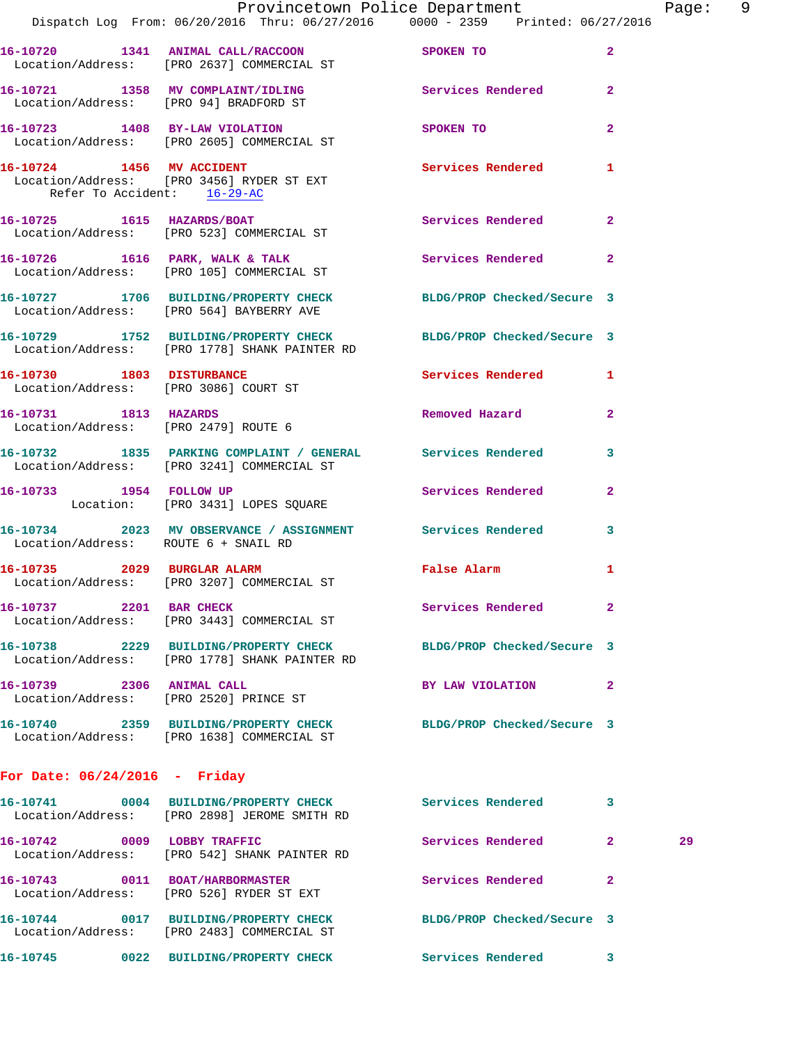|                                      | Dispatch Log From: 06/20/2016 Thru: 06/27/2016 0000 - 2359 Printed: 06/27/2016                                    | Provincetown Police Department The Page: 9                                                                                                                                                                                    |              |    |  |
|--------------------------------------|-------------------------------------------------------------------------------------------------------------------|-------------------------------------------------------------------------------------------------------------------------------------------------------------------------------------------------------------------------------|--------------|----|--|
|                                      | 16-10720 1341 ANIMAL CALL/RACCOON SPOKEN TO<br>Location/Address: [PRO 2637] COMMERCIAL ST                         |                                                                                                                                                                                                                               | $\mathbf{2}$ |    |  |
|                                      | 16-10721 1358 MV COMPLAINT/IDLING Services Rendered 2<br>Location/Address: [PRO 94] BRADFORD ST                   |                                                                                                                                                                                                                               |              |    |  |
|                                      | 16-10723 1408 BY-LAW VIOLATION<br>Location/Address: [PRO 2605] COMMERCIAL ST                                      | SPOKEN TO THE STATE OF THE STATE OF THE STATE OF THE STATE OF THE STATE OF THE STATE OF THE STATE OF THE STATE OF THE STATE OF THE STATE OF THE STATE OF THE STATE OF THE STATE OF THE STATE OF THE STATE OF THE STATE OF THE | $\mathbf{2}$ |    |  |
| Refer To Accident: 16-29-AC          | 16-10724 1456 MV ACCIDENT Services Rendered 1<br>Location/Address: [PRO 3456] RYDER ST EXT                        |                                                                                                                                                                                                                               |              |    |  |
|                                      | 16-10725 1615 HAZARDS/BOAT<br>Location/Address: [PRO 523] COMMERCIAL ST                                           | Services Rendered 2                                                                                                                                                                                                           |              |    |  |
|                                      | 16-10726 1616 PARK, WALK & TALK 1999 Services Rendered 2<br>Location/Address: [PRO 105] COMMERCIAL ST             |                                                                                                                                                                                                                               |              |    |  |
|                                      | 16-10727 1706 BUILDING/PROPERTY CHECK BLDG/PROP Checked/Secure 3<br>Location/Address: [PRO 564] BAYBERRY AVE      |                                                                                                                                                                                                                               |              |    |  |
|                                      | 16-10729 1752 BUILDING/PROPERTY CHECK BLDG/PROP Checked/Secure 3<br>Location/Address: [PRO 1778] SHANK PAINTER RD |                                                                                                                                                                                                                               |              |    |  |
|                                      | 16-10730 1803 DISTURBANCE Services Rendered 1<br>Location/Address: [PRO 3086] COURT ST                            |                                                                                                                                                                                                                               |              |    |  |
| Location/Address: [PRO 2479] ROUTE 6 | 16-10731 1813 HAZARDS                                                                                             | Removed Hazard                                                                                                                                                                                                                | $\mathbf{2}$ |    |  |
|                                      | 16-10732 1835 PARKING COMPLAINT / GENERAL Services Rendered 3<br>Location/Address: [PRO 3241] COMMERCIAL ST       |                                                                                                                                                                                                                               |              |    |  |
|                                      | 16-10733 1954 FOLLOW UP<br>Location: [PRO 3431] LOPES SQUARE                                                      | Services Rendered 2                                                                                                                                                                                                           |              |    |  |
| Location/Address: ROUTE 6 + SNAIL RD | 16-10734 2023 MV OBSERVANCE / ASSIGNMENT Services Rendered                                                        |                                                                                                                                                                                                                               | $\mathbf{3}$ |    |  |
|                                      | 16-10735 2029 BURGLAR ALARM<br>Location/Address: [PRO 3207] COMMERCIAL ST                                         | False Alarm                                                                                                                                                                                                                   | 1            |    |  |
| 16-10737 2201 BAR CHECK              | Location/Address: [PRO 3443] COMMERCIAL ST                                                                        | Services Rendered 2                                                                                                                                                                                                           |              |    |  |
|                                      | 16-10738 2229 BUILDING/PROPERTY CHECK BLDG/PROP Checked/Secure 3<br>Location/Address: [PRO 1778] SHANK PAINTER RD |                                                                                                                                                                                                                               |              |    |  |
| 16-10739 2306 ANIMAL CALL            | Location/Address: [PRO 2520] PRINCE ST                                                                            | BY LAW VIOLATION 2                                                                                                                                                                                                            |              |    |  |
|                                      | 16-10740 2359 BUILDING/PROPERTY CHECK BLDG/PROP Checked/Secure 3<br>Location/Address: [PRO 1638] COMMERCIAL ST    |                                                                                                                                                                                                                               |              |    |  |
| For Date: $06/24/2016$ - Friday      |                                                                                                                   |                                                                                                                                                                                                                               |              |    |  |
|                                      | 16-10741 0004 BUILDING/PROPERTY CHECK<br>Location/Address: [PRO 2898] JEROME SMITH RD                             | Services Rendered                                                                                                                                                                                                             | 3            |    |  |
| 16-10742 0009 LOBBY TRAFFIC          | Location/Address: [PRO 542] SHANK PAINTER RD                                                                      | Services Rendered 2                                                                                                                                                                                                           |              | 29 |  |
|                                      | 16-10743 0011 BOAT/HARBORMASTER<br>Location/Address: [PRO 526] RYDER ST EXT                                       | Services Rendered                                                                                                                                                                                                             | 2            |    |  |
|                                      | 16-10744 0017 BUILDING/PROPERTY CHECK BLDG/PROP Checked/Secure 3<br>Location/Address: [PRO 2483] COMMERCIAL ST    |                                                                                                                                                                                                                               |              |    |  |

**16-10745 0022 BUILDING/PROPERTY CHECK Services Rendered 3**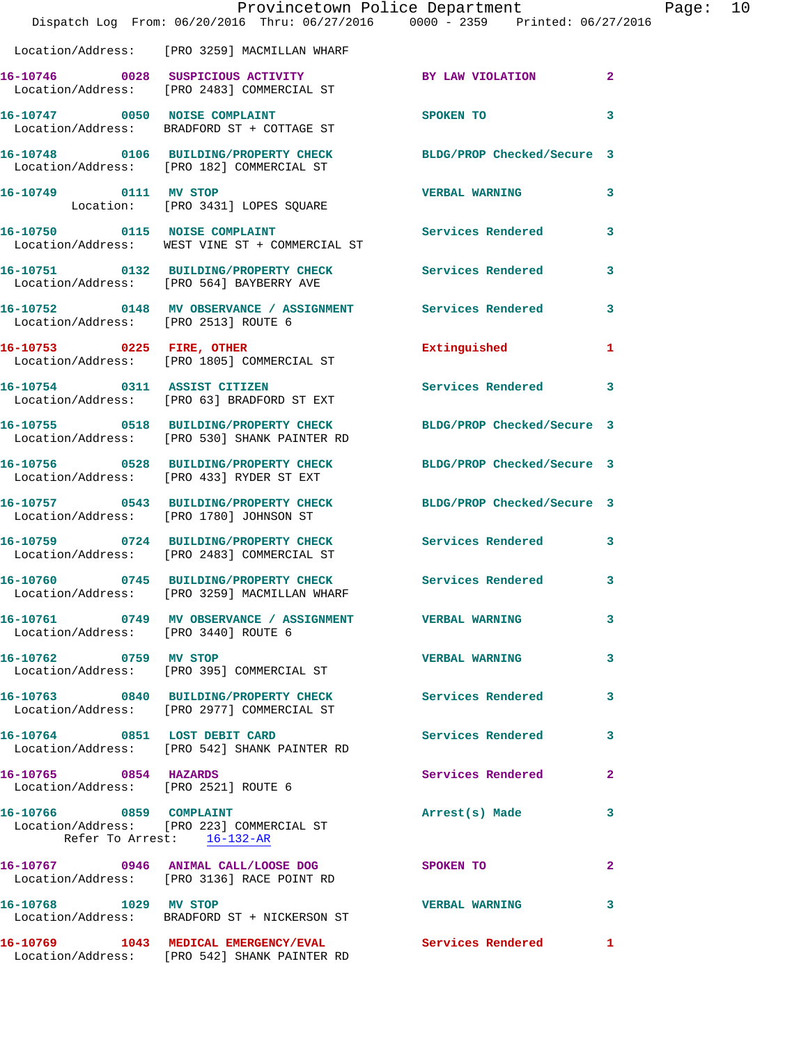|                                      | Dispatch Log From: 06/20/2016 Thru: 06/27/2016 0000 - 2359 Printed: 06/27/2016                                   | Provincetown Police Department |              | Page: 10 |  |
|--------------------------------------|------------------------------------------------------------------------------------------------------------------|--------------------------------|--------------|----------|--|
|                                      | Location/Address: [PRO 3259] MACMILLAN WHARF                                                                     |                                |              |          |  |
|                                      | Location/Address: [PRO 2483] COMMERCIAL ST                                                                       |                                |              |          |  |
|                                      | 16-10747 0050 NOISE COMPLAINT<br>Location/Address: BRADFORD ST + COTTAGE ST                                      | SPOKEN TO                      | 3            |          |  |
|                                      | 16-10748 0106 BUILDING/PROPERTY CHECK BLDG/PROP Checked/Secure 3<br>Location/Address: [PRO 182] COMMERCIAL ST    |                                |              |          |  |
|                                      | 16-10749 0111 MV STOP<br>Location: [PRO 3431] LOPES SQUARE                                                       | <b>VERBAL WARNING</b>          | 3            |          |  |
|                                      | 16-10750 0115 NOISE COMPLAINT<br>Location/Address: WEST VINE ST + COMMERCIAL ST                                  | Services Rendered 3            |              |          |  |
|                                      | 16-10751 0132 BUILDING/PROPERTY CHECK Services Rendered<br>Location/Address: [PRO 564] BAYBERRY AVE              |                                | 3            |          |  |
| Location/Address: [PRO 2513] ROUTE 6 | 16-10752 0148 MV OBSERVANCE / ASSIGNMENT Services Rendered                                                       |                                | 3            |          |  |
|                                      | 16-10753 0225 FIRE, OTHER<br>Location/Address: [PRO 1805] COMMERCIAL ST                                          | Extinguished                   | $\mathbf{1}$ |          |  |
|                                      | 16-10754 0311 ASSIST CITIZEN<br>Location/Address: [PRO 63] BRADFORD ST EXT                                       | Services Rendered 3            |              |          |  |
|                                      | 16-10755 0518 BUILDING/PROPERTY CHECK BLDG/PROP Checked/Secure 3<br>Location/Address: [PRO 530] SHANK PAINTER RD |                                |              |          |  |
|                                      | 16-10756 0528 BUILDING/PROPERTY CHECK BLDG/PROP Checked/Secure 3<br>Location/Address: [PRO 433] RYDER ST EXT     |                                |              |          |  |
|                                      | 16-10757 0543 BUILDING/PROPERTY CHECK BLDG/PROP Checked/Secure 3<br>Location/Address: [PRO 1780] JOHNSON ST      |                                |              |          |  |
|                                      | 16-10759 0724 BUILDING/PROPERTY CHECK Services Rendered 3<br>Location/Address: [PRO 2483] COMMERCIAL ST          |                                |              |          |  |
|                                      | 16-10760 0745 BUILDING/PROPERTY CHECK Services Rendered 3<br>Location/Address: [PRO 3259] MACMILLAN WHARF        |                                |              |          |  |
| Location/Address: [PRO 3440] ROUTE 6 | 16-10761 0749 MV OBSERVANCE / ASSIGNMENT VERBAL WARNING                                                          |                                | 3            |          |  |
| 16-10762 0759 MV STOP                | Location/Address: [PRO 395] COMMERCIAL ST                                                                        | <b>VERBAL WARNING</b>          | 3            |          |  |
|                                      | 16-10763 0840 BUILDING/PROPERTY CHECK Services Rendered<br>Location/Address: [PRO 2977] COMMERCIAL ST            |                                | 3            |          |  |
|                                      | 16-10764 0851 LOST DEBIT CARD<br>Location/Address: [PRO 542] SHANK PAINTER RD                                    | <b>Services Rendered</b>       | 3            |          |  |
| 16-10765 0854 HAZARDS                | Location/Address: [PRO 2521] ROUTE 6                                                                             | Services Rendered              | $\mathbf{2}$ |          |  |
| 16-10766 0859 COMPLAINT              | Location/Address: [PRO 223] COMMERCIAL ST<br>Refer To Arrest: 16-132-AR                                          | Arrest(s) Made                 | 3            |          |  |
|                                      | 16-10767 0946 ANIMAL CALL/LOOSE DOG SPOKEN TO<br>Location/Address: [PRO 3136] RACE POINT RD                      |                                | $\mathbf{2}$ |          |  |
| 16-10768 1029 MV STOP                | Location/Address: BRADFORD ST + NICKERSON ST                                                                     | <b>VERBAL WARNING</b>          | 3            |          |  |
|                                      | 16-10769 1043 MEDICAL EMERGENCY/EVAL Services Rendered 1<br>Location/Address: [PRO 542] SHANK PAINTER RD         |                                |              |          |  |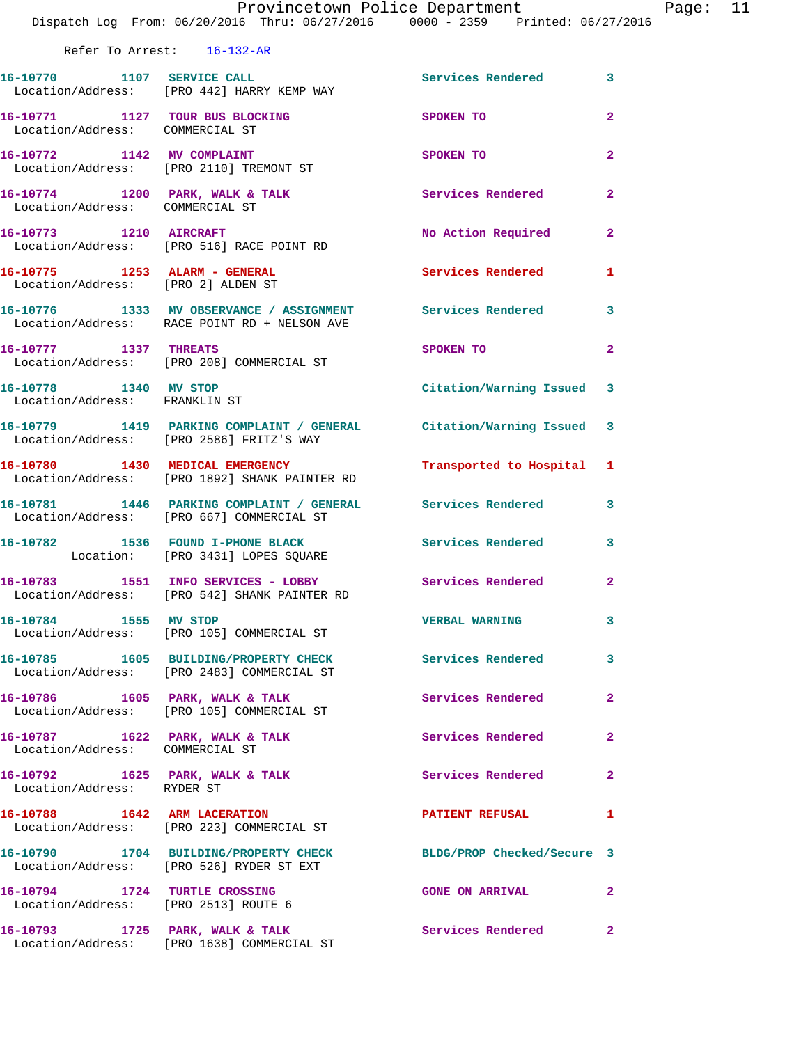|                                                                     | Provincetown Police Department<br>Dispatch Log From: 06/20/2016 Thru: 06/27/2016 0000 - 2359 Printed: 06/27/2016 |                            |                         |
|---------------------------------------------------------------------|------------------------------------------------------------------------------------------------------------------|----------------------------|-------------------------|
| Refer To Arrest: 16-132-AR                                          |                                                                                                                  |                            |                         |
|                                                                     |                                                                                                                  |                            |                         |
|                                                                     | 16-10770 1107 SERVICE CALL<br>Location/Address: [PRO 442] HARRY KEMP WAY                                         | Services Rendered          | 3                       |
| 16-10771 1127 TOUR BUS BLOCKING<br>Location/Address: COMMERCIAL ST  |                                                                                                                  | SPOKEN TO                  | $\overline{\mathbf{2}}$ |
| 16-10772 1142 MV COMPLAINT                                          | Location/Address: [PRO 2110] TREMONT ST                                                                          | SPOKEN TO                  | $\mathbf{2}$            |
| Location/Address: COMMERCIAL ST                                     | 16-10774 1200 PARK, WALK & TALK                                                                                  | Services Rendered          | $\overline{a}$          |
|                                                                     | 16-10773 1210 AIRCRAFT<br>Location/Address: [PRO 516] RACE POINT RD                                              | No Action Required         | $\mathbf{2}$            |
| 16-10775 1253 ALARM - GENERAL<br>Location/Address: [PRO 2] ALDEN ST |                                                                                                                  | <b>Services Rendered</b>   | 1                       |
|                                                                     | 16-10776 1333 MV OBSERVANCE / ASSIGNMENT Services Rendered<br>Location/Address: RACE POINT RD + NELSON AVE       |                            | 3                       |
| 16-10777 1337 THREATS                                               | Location/Address: [PRO 208] COMMERCIAL ST                                                                        | SPOKEN TO                  | $\overline{\mathbf{2}}$ |
| 16-10778 1340 MV STOP<br>Location/Address: FRANKLIN ST              |                                                                                                                  | Citation/Warning Issued    | 3                       |
|                                                                     | 16-10779 1419 PARKING COMPLAINT / GENERAL Citation/Warning Issued<br>Location/Address: [PRO 2586] FRITZ'S WAY    |                            | 3                       |
|                                                                     | 16-10780 1430 MEDICAL EMERGENCY<br>Location/Address: [PRO 1892] SHANK PAINTER RD                                 | Transported to Hospital    | 1                       |
|                                                                     | 16-10781 1446 PARKING COMPLAINT / GENERAL Services Rendered<br>Location/Address: [PRO 667] COMMERCIAL ST         |                            | 3                       |
|                                                                     | 16-10782 1536 FOUND I-PHONE BLACK<br>Location: [PRO 3431] LOPES SQUARE                                           | Services Rendered          | 3                       |
|                                                                     | 16-10783 1551 INFO SERVICES - LOBBY<br>Location/Address: [PRO 542] SHANK PAINTER RD                              | Services Rendered          | 2                       |
| 16-10784 1555 MV STOP                                               | Location/Address: [PRO 105] COMMERCIAL ST                                                                        | <b>VERBAL WARNING</b>      | 3                       |
|                                                                     | 16-10785 1605 BUILDING/PROPERTY CHECK Services Rendered<br>Location/Address: [PRO 2483] COMMERCIAL ST            |                            | 3                       |
|                                                                     | 16-10786              1605    PARK,  WALK  &  TALK<br>Location/Address: [PRO 105] COMMERCIAL ST                  | Services Rendered          | 2                       |
| Location/Address: COMMERCIAL ST                                     | 16-10787 1622 PARK, WALK & TALK                                                                                  | Services Rendered          | $\overline{\mathbf{2}}$ |
| 16-10792 1625 PARK, WALK & TALK<br>Location/Address: RYDER ST       |                                                                                                                  | Services Rendered          | $\mathbf{2}$            |
|                                                                     | 16-10788 1642 ARM LACERATION<br>Location/Address: [PRO 223] COMMERCIAL ST                                        | <b>PATIENT REFUSAL</b>     | 1                       |
|                                                                     | 16-10790 1704 BUILDING/PROPERTY CHECK<br>Location/Address: [PRO 526] RYDER ST EXT                                | BLDG/PROP Checked/Secure 3 |                         |
| Location/Address: [PRO 2513] ROUTE 6                                | 16-10794 1724 TURTLE CROSSING                                                                                    | <b>GONE ON ARRIVAL</b>     | 2                       |
| 16-10793 1725 PARK, WALK & TALK                                     |                                                                                                                  | Services Rendered          | $\overline{\mathbf{2}}$ |

Location/Address: [PRO 1638] COMMERCIAL ST

Page: 11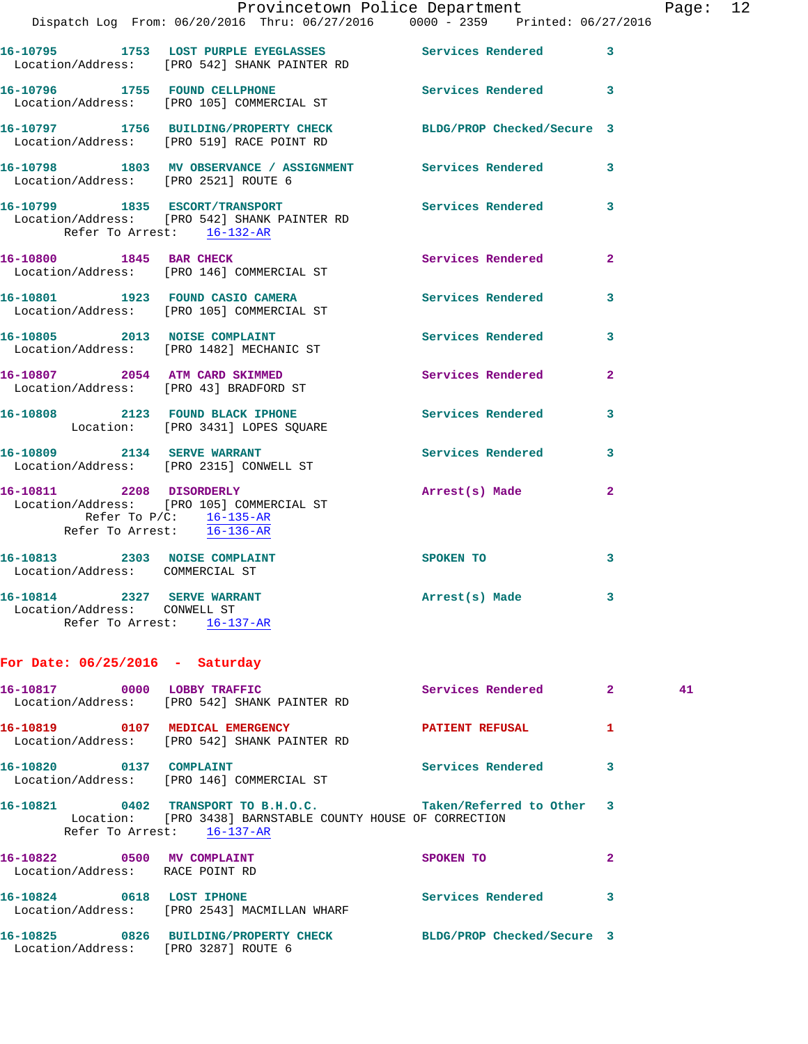|                                                                                           | Dispatch Log From: 06/20/2016 Thru: 06/27/2016 0000 - 2359 Printed: 06/27/2016                                | Provincetown Police Department Page: 12 |                |  |
|-------------------------------------------------------------------------------------------|---------------------------------------------------------------------------------------------------------------|-----------------------------------------|----------------|--|
|                                                                                           | 16-10795 1753 LOST PURPLE EYEGLASSES Services Rendered 3<br>Location/Address: [PRO 542] SHANK PAINTER RD      |                                         |                |  |
|                                                                                           | 16-10796 1755 FOUND CELLPHONE<br>Location/Address: [PRO 105] COMMERCIAL ST                                    | Services Rendered 3                     |                |  |
|                                                                                           | 16-10797 1756 BUILDING/PROPERTY CHECK BLDG/PROP Checked/Secure 3<br>Location/Address: [PRO 519] RACE POINT RD |                                         |                |  |
| Location/Address: [PRO 2521] ROUTE 6                                                      | 16-10798 1803 MV OBSERVANCE / ASSIGNMENT Services Rendered 3                                                  |                                         |                |  |
| Refer To Arrest: 16-132-AR                                                                | 16-10799 1835 ESCORT/TRANSPORT<br>Location/Address: [PRO 542] SHANK PAINTER RD                                | Services Rendered                       | $\mathbf{3}$   |  |
|                                                                                           | 16-10800 1845 BAR CHECK<br>Location/Address: [PRO 146] COMMERCIAL ST                                          | Services Rendered                       | $\mathbf{2}$   |  |
|                                                                                           | 16-10801 1923 FOUND CASIO CAMERA<br>Location/Address: [PRO 105] COMMERCIAL ST                                 | Services Rendered 3                     |                |  |
|                                                                                           | 16-10805 2013 NOISE COMPLAINT<br>Location/Address: [PRO 1482] MECHANIC ST                                     | Services Rendered 3                     |                |  |
|                                                                                           | 16-10807 2054 ATM CARD SKIMMED<br>Location/Address: [PRO 43] BRADFORD ST                                      | Services Rendered                       | $\overline{2}$ |  |
|                                                                                           | 16-10808 2123 FOUND BLACK IPHONE<br>Location: [PRO 3431] LOPES SQUARE                                         | Services Rendered                       | 3              |  |
|                                                                                           | 16-10809 2134 SERVE WARRANT<br>Location/Address: [PRO 2315] CONWELL ST                                        | Services Rendered 3                     |                |  |
| Refer To Arrest: 16-136-AR                                                                | 16-10811 2208 DISORDERLY<br>Location/Address: [PRO 105] COMMERCIAL ST<br>Refer To P/C: 16-135-AR              | Arrest(s) Made                          | $\mathbf{2}$   |  |
| 16-10813 2303 NOISE COMPLAINT<br>Location/Address: COMMERCIAL ST                          |                                                                                                               | SPOKEN TO                               | 3              |  |
| 16-10814 2327 SERVE WARRANT<br>Location/Address: CONWELL ST<br>Refer To Arrest: 16-137-AR |                                                                                                               | Arrest(s) Made                          | 3              |  |

## **For Date: 06/25/2016 - Saturday**

| 16-10817 0000                                                 | LOBBY TRAFFIC<br>Location/Address: [PRO 542] SHANK PAINTER RD                                                                                                               | Services Rendered          | $\overline{2}$ | 41 |
|---------------------------------------------------------------|-----------------------------------------------------------------------------------------------------------------------------------------------------------------------------|----------------------------|----------------|----|
|                                                               | Location/Address: [PRO 542] SHANK PAINTER RD                                                                                                                                | <b>PATIENT REFUSAL</b>     | 1              |    |
| 16-10820 0137 COMPLAINT                                       | Location/Address: [PRO 146] COMMERCIAL ST                                                                                                                                   | Services Rendered          | 3              |    |
|                                                               | 16-10821      0402   TRANSPORT TO B.H.O.C.          Taken/Referred to Other   3<br>Location: [PRO 3438] BARNSTABLE COUNTY HOUSE OF CORRECTION<br>Refer To Arrest: 16-137-AR |                            |                |    |
| 16-10822 0500 MV COMPLAINT<br>Location/Address: RACE POINT RD |                                                                                                                                                                             | SPOKEN TO                  | $\overline{2}$ |    |
| 16-10824 0618 LOST IPHONE                                     | Location/Address: [PRO 2543] MACMILLAN WHARF                                                                                                                                | Services Rendered          | 3              |    |
|                                                               | 16-10825      0826  BUILDING/PROPERTY_CHECK<br>Location/Address: [PRO 3287] ROUTE 6                                                                                         | BLDG/PROP Checked/Secure 3 |                |    |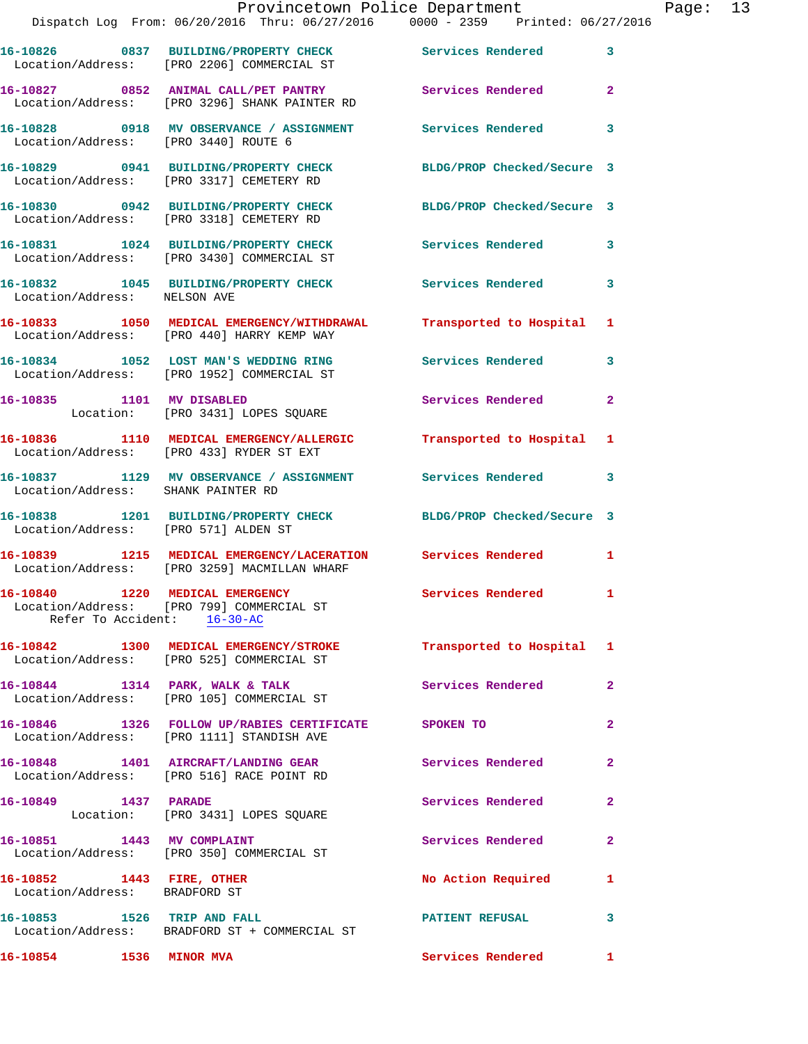|                                                                | Provincetown Police Department<br>Dispatch Log From: 06/20/2016 Thru: 06/27/2016 0000 - 2359 Printed: 06/27/2016 |                            |                |
|----------------------------------------------------------------|------------------------------------------------------------------------------------------------------------------|----------------------------|----------------|
|                                                                |                                                                                                                  |                            |                |
|                                                                | 16-10826 0837 BUILDING/PROPERTY CHECK<br>Location/Address: [PRO 2206] COMMERCIAL ST                              | <b>Services Rendered</b>   | 3              |
|                                                                | 16-10827 0852 ANIMAL CALL/PET PANTRY<br>Location/Address: [PRO 3296] SHANK PAINTER RD                            | Services Rendered          | $\overline{a}$ |
| Location/Address: [PRO 3440] ROUTE 6                           | 16-10828 0918 MV OBSERVANCE / ASSIGNMENT                                                                         | <b>Services Rendered</b>   | 3              |
|                                                                | 16-10829 0941 BUILDING/PROPERTY CHECK<br>Location/Address: [PRO 3317] CEMETERY RD                                | BLDG/PROP Checked/Secure 3 |                |
|                                                                | 16-10830 0942 BUILDING/PROPERTY CHECK<br>Location/Address: [PRO 3318] CEMETERY RD                                | BLDG/PROP Checked/Secure 3 |                |
|                                                                | 16-10831 1024 BUILDING/PROPERTY CHECK<br>Location/Address: [PRO 3430] COMMERCIAL ST                              | <b>Services Rendered</b>   | 3              |
| Location/Address: NELSON AVE                                   | 16-10832 1045 BUILDING/PROPERTY CHECK Services Rendered                                                          |                            | 3              |
|                                                                | 16-10833 1050 MEDICAL EMERGENCY/WITHDRAWAL<br>Location/Address: [PRO 440] HARRY KEMP WAY                         | Transported to Hospital    | 1              |
|                                                                | 16-10834 1052 LOST MAN'S WEDDING RING<br>Location/Address: [PRO 1952] COMMERCIAL ST                              | Services Rendered          | 3              |
|                                                                | 16-10835 1101 MV DISABLED<br>Location: [PRO 3431] LOPES SQUARE                                                   | Services Rendered          | $\mathbf{2}$   |
|                                                                | 16-10836 1110 MEDICAL EMERGENCY/ALLERGIC Transported to Hospital<br>Location/Address: [PRO 433] RYDER ST EXT     |                            | 1              |
| Location/Address: SHANK PAINTER RD                             | 16-10837 1129 MV OBSERVANCE / ASSIGNMENT Services Rendered                                                       |                            | 3              |
| Location/Address: [PRO 571] ALDEN ST                           | 16-10838 1201 BUILDING/PROPERTY CHECK                                                                            | BLDG/PROP Checked/Secure 3 |                |
|                                                                | 16-10839 1215 MEDICAL EMERGENCY/LACERATION Services Rendered<br>Location/Address: [PRO 3259] MACMILLAN WHARF     |                            | $\mathbf{1}$   |
| 16-10840 1220 MEDICAL EMERGENCY<br>Refer To Accident: 16-30-AC | Location/Address: [PRO 799] COMMERCIAL ST                                                                        | Services Rendered          |                |
|                                                                | 16-10842 1300 MEDICAL EMERGENCY/STROKE Transported to Hospital 1<br>Location/Address: [PRO 525] COMMERCIAL ST    |                            |                |
|                                                                | 16-10844 1314 PARK, WALK & TALK<br>Location/Address: [PRO 105] COMMERCIAL ST                                     | Services Rendered          | $\mathbf{2}$   |
|                                                                | 16-10846 1326 FOLLOW UP/RABIES CERTIFICATE SPOKEN TO<br>Location/Address: [PRO 1111] STANDISH AVE                |                            | $\overline{2}$ |
|                                                                | 16-10848 1401 AIRCRAFT/LANDING GEAR<br>Location/Address: [PRO 516] RACE POINT RD                                 | <b>Services Rendered</b>   | $\mathbf{2}$   |
| 16-10849 1437 PARADE                                           | Location: [PRO 3431] LOPES SQUARE                                                                                | Services Rendered          | $\overline{a}$ |
| 16-10851 1443 MV COMPLAINT                                     | Location/Address: [PRO 350] COMMERCIAL ST                                                                        | Services Rendered          | $\mathbf{2}$   |
| 16-10852 1443 FIRE, OTHER<br>Location/Address: BRADFORD ST     |                                                                                                                  | <b>No Action Required</b>  | 1              |
| 16-10853 1526 TRIP AND FALL                                    | Location/Address: BRADFORD ST + COMMERCIAL ST                                                                    | <b>PATIENT REFUSAL</b>     | 3              |

**16-10854 1536 MINOR MVA Services Rendered 1** 

Page: 13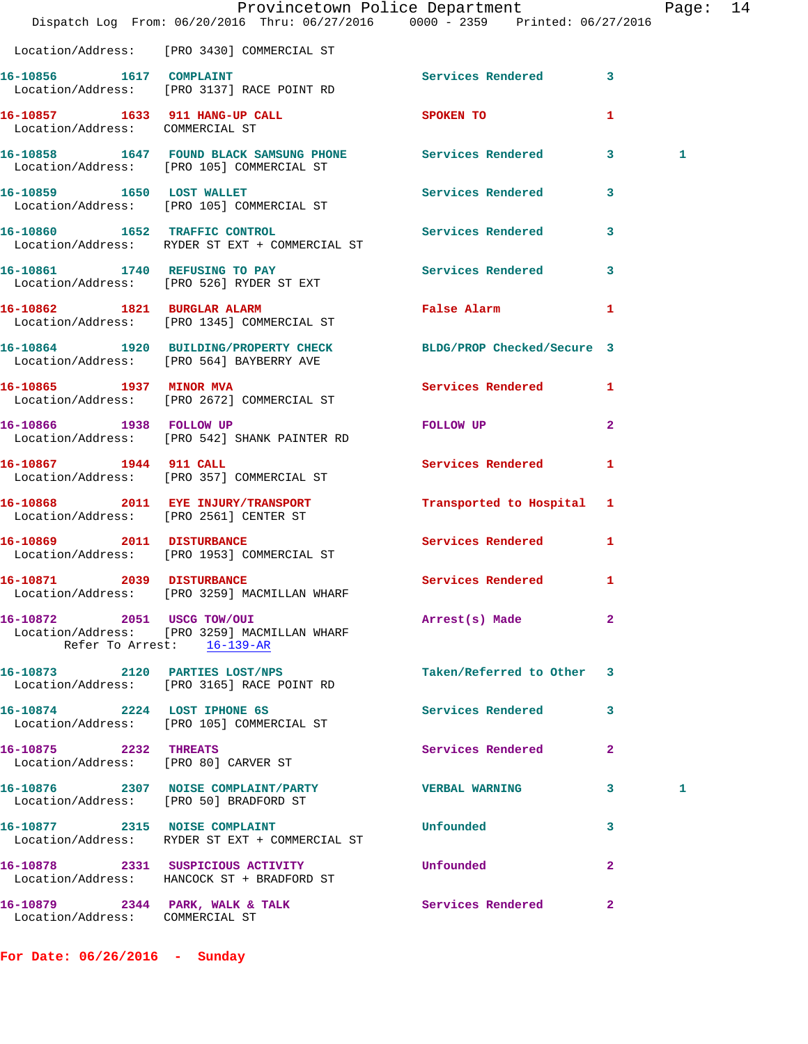|                                        | Dispatch Log From: 06/20/2016 Thru: 06/27/2016 0000 - 2359 Printed: 06/27/2016                               | Provincetown Police Department                                                                                                                                                                                                 |              | Page: 14 |  |
|----------------------------------------|--------------------------------------------------------------------------------------------------------------|--------------------------------------------------------------------------------------------------------------------------------------------------------------------------------------------------------------------------------|--------------|----------|--|
|                                        | Location/Address: [PRO 3430] COMMERCIAL ST                                                                   |                                                                                                                                                                                                                                |              |          |  |
| 16-10856 1617 COMPLAINT                | Location/Address: [PRO 3137] RACE POINT RD                                                                   | Services Rendered 3                                                                                                                                                                                                            |              |          |  |
| Location/Address: COMMERCIAL ST        | 16-10857 1633 911 HANG-UP CALL SPOKEN TO                                                                     |                                                                                                                                                                                                                                | $\mathbf{1}$ |          |  |
|                                        | 16-10858 1647 FOUND BLACK SAMSUNG PHONE Services Rendered 3<br>Location/Address: [PRO 105] COMMERCIAL ST     |                                                                                                                                                                                                                                |              | 1        |  |
|                                        | 16-10859 1650 LOST WALLET<br>Location/Address: [PRO 105] COMMERCIAL ST                                       | Services Rendered 3                                                                                                                                                                                                            |              |          |  |
| 16-10860 1652 TRAFFIC CONTROL          | Location/Address: RYDER ST EXT + COMMERCIAL ST                                                               | Services Rendered 3                                                                                                                                                                                                            |              |          |  |
|                                        | 16-10861 1740 REFUSING TO PAY<br>Location/Address: [PRO 526] RYDER ST EXT                                    | Services Rendered 3                                                                                                                                                                                                            |              |          |  |
|                                        | 16-10862 1821 BURGLAR ALARM<br>Location/Address: [PRO 1345] COMMERCIAL ST                                    | <b>False Alarm</b>                                                                                                                                                                                                             | 1            |          |  |
|                                        | 16-10864 1920 BUILDING/PROPERTY CHECK BLDG/PROP Checked/Secure 3<br>Location/Address: [PRO 564] BAYBERRY AVE |                                                                                                                                                                                                                                |              |          |  |
|                                        | 16-10865 1937 MINOR MVA<br>Location/Address: [PRO 2672] COMMERCIAL ST                                        | Services Rendered 1                                                                                                                                                                                                            |              |          |  |
|                                        | 16-10866 1938 FOLLOW UP<br>Location/Address: [PRO 542] SHANK PAINTER RD                                      | FOLLOW UP THE TRANSPORTED TO A THE TRANSPORTED TO A THE TRANSPORTED TO A THE TRANSPORTED TO A THE TRANSPORTED THAT A THE TRANSPORTED THAT A THE TRANSPORTED THAT A THE TRANSPORTED THAT A THE TRANSPORTED THAT A THE TRANSPORT | $\mathbf{2}$ |          |  |
| 16-10867 1944 911 CALL                 | Location/Address: [PRO 357] COMMERCIAL ST                                                                    | Services Rendered                                                                                                                                                                                                              | 1            |          |  |
|                                        | 16-10868 2011 EYE INJURY/TRANSPORT Transported to Hospital 1<br>Location/Address: [PRO 2561] CENTER ST       |                                                                                                                                                                                                                                |              |          |  |
|                                        | 16-10869 2011 DISTURBANCE<br>Location/Address: [PRO 1953] COMMERCIAL ST                                      | Services Rendered 1                                                                                                                                                                                                            |              |          |  |
| 16-10871 2039 DISTURBANCE              | Location/Address: [PRO 3259] MACMILLAN WHARF                                                                 | Services Rendered 1                                                                                                                                                                                                            |              |          |  |
| 16-10872 2051 USCG TOW/OUI             | Location/Address: [PRO 3259] MACMILLAN WHARF<br>Refer To Arrest: 16-139-AR                                   | Arrest(s) Made                                                                                                                                                                                                                 | 2            |          |  |
|                                        | 16-10873 2120 PARTIES LOST/NPS<br>Location/Address: [PRO 3165] RACE POINT RD                                 | Taken/Referred to Other 3                                                                                                                                                                                                      |              |          |  |
|                                        | 16-10874 2224 LOST IPHONE 6S<br>Location/Address: [PRO 105] COMMERCIAL ST                                    | Services Rendered                                                                                                                                                                                                              | 3            |          |  |
| 16-10875 2232 THREATS                  | Location/Address: [PRO 80] CARVER ST                                                                         | Services Rendered                                                                                                                                                                                                              | $\mathbf{2}$ |          |  |
| Location/Address: [PRO 50] BRADFORD ST | 16-10876 2307 NOISE COMPLAINT/PARTY                                                                          | <b>VERBAL WARNING</b>                                                                                                                                                                                                          | $\mathbf{3}$ | 1        |  |
|                                        | 16-10877 2315 NOISE COMPLAINT<br>Location/Address: RYDER ST EXT + COMMERCIAL ST                              | Unfounded                                                                                                                                                                                                                      | 3            |          |  |
|                                        | 16-10878 2331 SUSPICIOUS ACTIVITY<br>Location/Address: HANCOCK ST + BRADFORD ST                              | Unfounded                                                                                                                                                                                                                      | $\mathbf{2}$ |          |  |
| Location/Address: COMMERCIAL ST        | 16-10879 2344 PARK, WALK & TALK                                                                              | Services Rendered 2                                                                                                                                                                                                            |              |          |  |

**For Date: 06/26/2016 - Sunday**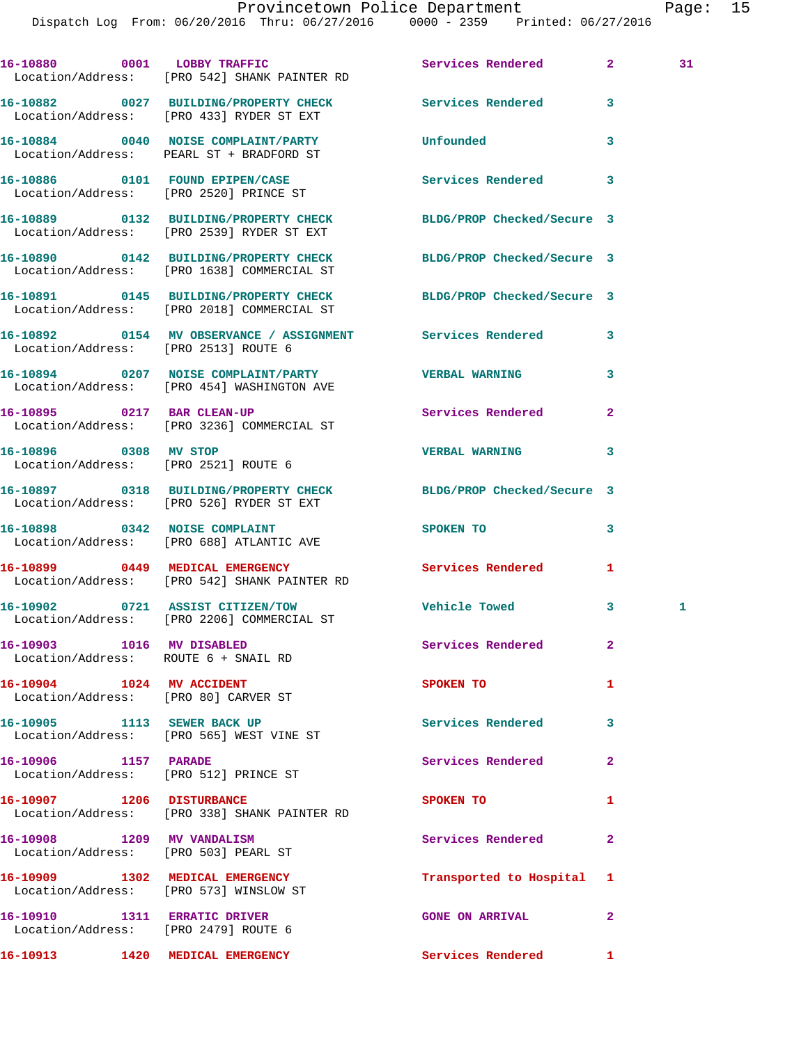16-10880 0001 LOBBY TRAFFIC Services Rendered 2 31 Location/Address: [PRO 542] SHANK PAINTER RD **16-10882 0027 BUILDING/PROPERTY CHECK Services Rendered 3**  Location/Address: [PRO 433] RYDER ST EXT **16-10884 0040 NOISE COMPLAINT/PARTY Unfounded 3**  Location/Address: PEARL ST + BRADFORD ST **16-10886 0101 FOUND EPIPEN/CASE Services Rendered 3**  Location/Address: [PRO 2520] PRINCE ST **16-10889 0132 BUILDING/PROPERTY CHECK BLDG/PROP Checked/Secure 3**  Location/Address: [PRO 2539] RYDER ST EXT **16-10890 0142 BUILDING/PROPERTY CHECK BLDG/PROP Checked/Secure 3**  Location/Address: [PRO 1638] COMMERCIAL ST **16-10891 0145 BUILDING/PROPERTY CHECK BLDG/PROP Checked/Secure 3**  Location/Address: [PRO 2018] COMMERCIAL ST **16-10892 0154 MV OBSERVANCE / ASSIGNMENT Services Rendered 3**  Location/Address: [PRO 2513] ROUTE 6 **16-10894 0207 NOISE COMPLAINT/PARTY VERBAL WARNING 3**  Location/Address: [PRO 454] WASHINGTON AVE **16-10895 0217 BAR CLEAN-UP Services Rendered 2**  Location/Address: [PRO 3236] COMMERCIAL ST **16-10896 0308 MV STOP VERBAL WARNING 3**  Location/Address: [PRO 2521] ROUTE 6 **16-10897 0318 BUILDING/PROPERTY CHECK BLDG/PROP Checked/Secure 3**  Location/Address: [PRO 526] RYDER ST EXT 16-10898 0342 NOISE COMPLAINT SPOKEN TO 3 Location/Address: [PRO 688] ATLANTIC AVE **16-10899 0449 MEDICAL EMERGENCY Services Rendered 1**  Location/Address: [PRO 542] SHANK PAINTER RD **16-10902 0721 ASSIST CITIZEN/TOW Vehicle Towed 3 1**  Location/Address: [PRO 2206] COMMERCIAL ST **16-10903 1016 MV DISABLED Services Rendered 2**  Location/Address: ROUTE 6 + SNAIL RD **16-10904 1024 MV ACCIDENT 1008 SPOKEN TO 1**  Location/Address: [PRO 80] CARVER ST 16-10905 1113 SEWER BACK UP **Services Rendered** 3 Location/Address: [PRO 565] WEST VINE ST **16-10906 1157 PARADE Services Rendered 2**  Location/Address: [PRO 512] PRINCE ST **16-10907** 1206 DISTURBANCE SPOKEN TO 1 Location/Address: [PRO 338] SHANK PAINTER RD **16-10908 1209 MV VANDALISM Services Rendered 2**  Location/Address: [PRO 503] PEARL ST **16-10909 1302 MEDICAL EMERGENCY Transported to Hospital 1**  Location/Address: [PRO 573] WINSLOW ST **16-10910 1311 ERRATIC DRIVER GONE ON ARRIVAL 2**  Location/Address: [PRO 2479] ROUTE 6 **16-10913 1420 MEDICAL EMERGENCY Services Rendered 1**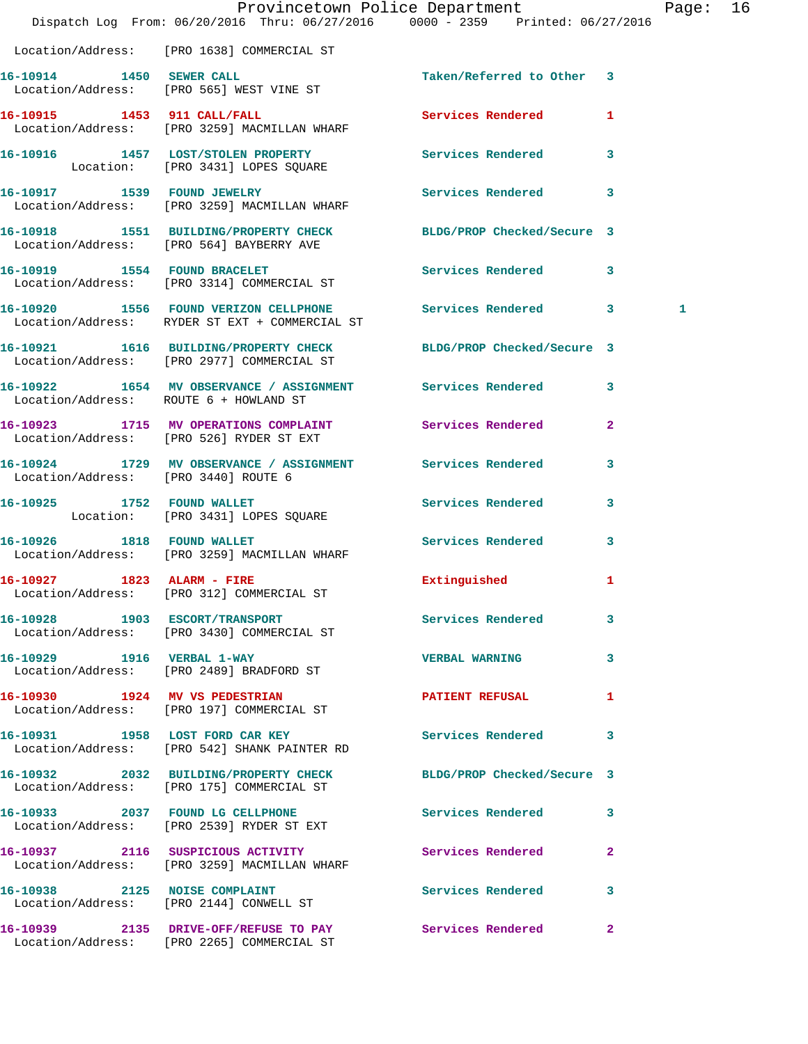|                                        | Dispatch Log From: 06/20/2016 Thru: 06/27/2016 0000 - 2359 Printed: 06/27/2016                                | Provincetown Police Department |              | Page: 16 |  |
|----------------------------------------|---------------------------------------------------------------------------------------------------------------|--------------------------------|--------------|----------|--|
|                                        | Location/Address: [PRO 1638] COMMERCIAL ST                                                                    |                                |              |          |  |
| 16-10914 1450 SEWER CALL               | Location/Address: [PRO 565] WEST VINE ST                                                                      | Taken/Referred to Other 3      |              |          |  |
|                                        | 16-10915 1453 911 CALL/FALL<br>Location/Address: [PRO 3259] MACMILLAN WHARF                                   | Services Rendered 1            |              |          |  |
|                                        | 16-10916 1457 LOST/STOLEN PROPERTY Services Rendered 3<br>Location: [PRO 3431] LOPES SQUARE                   |                                |              |          |  |
|                                        | 16-10917 1539 FOUND JEWELRY<br>Location/Address: [PRO 3259] MACMILLAN WHARF                                   | Services Rendered 3            |              |          |  |
|                                        | 16-10918 1551 BUILDING/PROPERTY CHECK BLDG/PROP Checked/Secure 3<br>Location/Address: [PRO 564] BAYBERRY AVE  |                                |              |          |  |
|                                        | 16-10919 1554 FOUND BRACELET<br>Location/Address: [PRO 3314] COMMERCIAL ST                                    | Services Rendered 3            |              |          |  |
|                                        | 16-10920 1556 FOUND VERIZON CELLPHONE Services Rendered 3<br>Location/Address: RYDER ST EXT + COMMERCIAL ST   |                                |              | 1        |  |
|                                        | 16-10921 1616 BUILDING/PROPERTY CHECK<br>Location/Address: [PRO 2977] COMMERCIAL ST                           | BLDG/PROP Checked/Secure 3     |              |          |  |
| Location/Address: ROUTE 6 + HOWLAND ST | 16-10922 1654 MV OBSERVANCE / ASSIGNMENT Services Rendered                                                    |                                | $\mathbf{3}$ |          |  |
|                                        | 16-10923 1715 MV OPERATIONS COMPLAINT Services Rendered<br>Location/Address: [PRO 526] RYDER ST EXT           |                                | $\mathbf{2}$ |          |  |
| Location/Address: [PRO 3440] ROUTE 6   | 16-10924 1729 MV OBSERVANCE / ASSIGNMENT Services Rendered                                                    |                                | 3            |          |  |
|                                        | 16-10925 1752 FOUND WALLET<br>Location: [PRO 3431] LOPES SQUARE                                               | Services Rendered 3            |              |          |  |
| 16-10926 1818 FOUND WALLET             | Location/Address: [PRO 3259] MACMILLAN WHARF                                                                  | <b>Services Rendered</b>       | $\mathbf{3}$ |          |  |
| 16-10927 1823 ALARM - FIRE             | Location/Address: [PRO 312] COMMERCIAL ST                                                                     | Extinguished 1                 |              |          |  |
|                                        | 16-10928 1903 ESCORT/TRANSPORT<br>Location/Address: [PRO 3430] COMMERCIAL ST                                  | Services Rendered 3            |              |          |  |
|                                        | 16-10929 1916 VERBAL 1-WAY<br>Location/Address: [PRO 2489] BRADFORD ST                                        | <b>VERBAL WARNING</b>          | $\mathbf{3}$ |          |  |
|                                        | 16-10930 1924 MV VS PEDESTRIAN<br>Location/Address: [PRO 197] COMMERCIAL ST                                   | <b>PATIENT REFUSAL</b>         | $\mathbf{1}$ |          |  |
|                                        | 16-10931 1958 LOST FORD CAR KEY<br>Location/Address: [PRO 542] SHANK PAINTER RD                               | Services Rendered              | 3            |          |  |
|                                        | 16-10932 2032 BUILDING/PROPERTY CHECK BLDG/PROP Checked/Secure 3<br>Location/Address: [PRO 175] COMMERCIAL ST |                                |              |          |  |
|                                        | 16-10933 2037 FOUND LG CELLPHONE<br>Location/Address: [PRO 2539] RYDER ST EXT                                 | Services Rendered              | 3            |          |  |
|                                        | 16-10937 2116 SUSPICIOUS ACTIVITY<br>Location/Address: [PRO 3259] MACMILLAN WHARF                             | Services Rendered              | $\mathbf{2}$ |          |  |
|                                        | 16-10938 2125 NOISE COMPLAINT<br>Location/Address: [PRO 2144] CONWELL ST                                      | Services Rendered 3            |              |          |  |
|                                        | 16-10939 2135 DRIVE-OFF/REFUSE TO PAY<br>Location/Address: [PRO 2265] COMMERCIAL ST                           | Services Rendered              | $\mathbf{2}$ |          |  |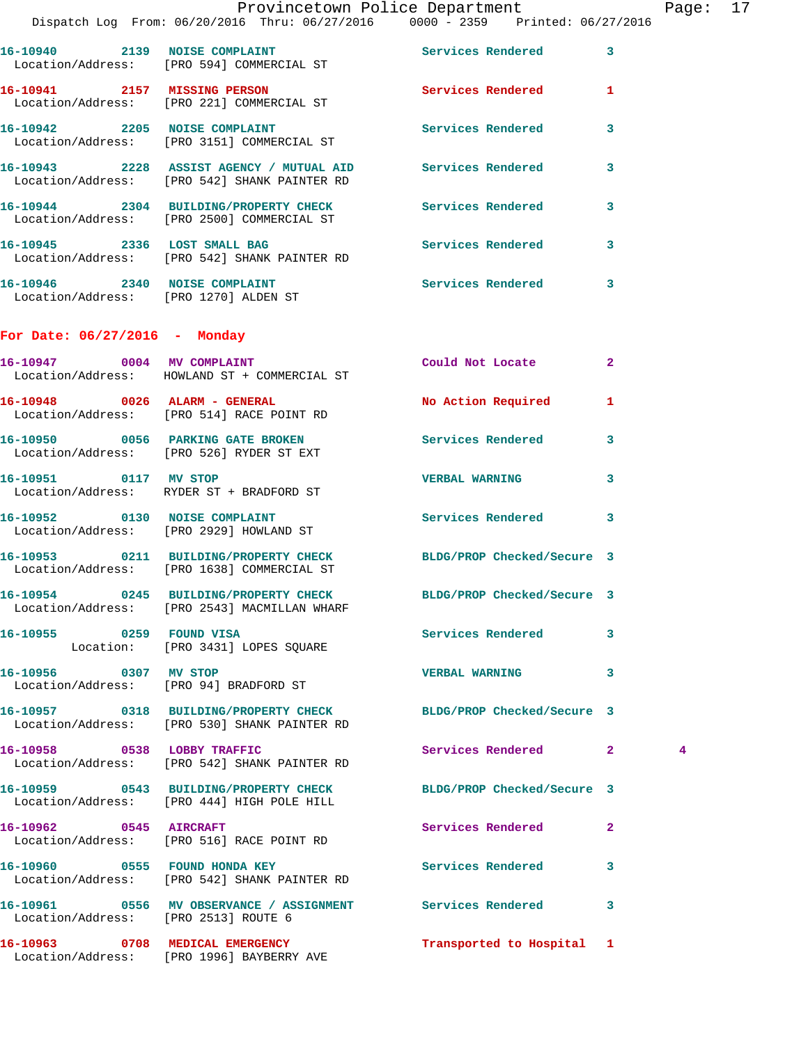|                                      |                                                                                                                  | Provincetown Police Department |              | Page: 17 |  |
|--------------------------------------|------------------------------------------------------------------------------------------------------------------|--------------------------------|--------------|----------|--|
|                                      | Dispatch Log From: 06/20/2016 Thru: 06/27/2016 0000 - 2359 Printed: 06/27/2016                                   |                                |              |          |  |
|                                      | 16-10940 2139 NOISE COMPLAINT<br>Location/Address: [PRO 594] COMMERCIAL ST                                       | Services Rendered 3            |              |          |  |
|                                      | 16-10941 2157 MISSING PERSON Services Rendered 1<br>Location/Address: [PRO 221] COMMERCIAL ST                    |                                |              |          |  |
|                                      | 16-10942 2205 NOISE COMPLAINT<br>Location/Address: [PRO 3151] COMMERCIAL ST                                      | Services Rendered 3            |              |          |  |
|                                      | 16-10943 2228 ASSIST AGENCY / MUTUAL AID Services Rendered<br>Location/Address: [PRO 542] SHANK PAINTER RD       |                                | $\mathbf{3}$ |          |  |
|                                      | 16-10944 2304 BUILDING/PROPERTY CHECK Services Rendered 3<br>Location/Address: [PRO 2500] COMMERCIAL ST          |                                |              |          |  |
|                                      | 16-10945 2336 LOST SMALL BAG<br>Location/Address: [PRO 542] SHANK PAINTER RD                                     | Services Rendered 3            |              |          |  |
|                                      | 16-10946 2340 NOISE COMPLAINT<br>Location/Address: [PRO 1270] ALDEN ST                                           | Services Rendered 3            |              |          |  |
| For Date: $06/27/2016$ - Monday      |                                                                                                                  |                                |              |          |  |
|                                      | 16-10947 0004 MV COMPLAINT<br>Location/Address: HOWLAND ST + COMMERCIAL ST                                       | Could Not Locate 2             |              |          |  |
|                                      | 16-10948 0026 ALARM - GENERAL<br>Location/Address: [PRO 514] RACE POINT RD                                       | No Action Required 1           |              |          |  |
|                                      | 16-10950 0056 PARKING GATE BROKEN Services Rendered 3<br>Location/Address: [PRO 526] RYDER ST EXT                |                                |              |          |  |
|                                      | 16-10951 0117 MV STOP<br>Location/Address: RYDER ST + BRADFORD ST                                                | <b>VERBAL WARNING</b>          | 3            |          |  |
|                                      | 16-10952 0130 NOISE COMPLAINT<br>Location/Address: [PRO 2929] HOWLAND ST                                         | Services Rendered 3            |              |          |  |
|                                      | 16-10953 0211 BUILDING/PROPERTY CHECK BLDG/PROP Checked/Secure 3<br>Location/Address: [PRO 1638] COMMERCIAL ST   |                                |              |          |  |
|                                      | 16-10954 0245 BUILDING/PROPERTY CHECK BLDG/PROP Checked/Secure 3<br>Location/Address: [PRO 2543] MACMILLAN WHARF |                                |              |          |  |
| 16-10955 0259 FOUND VISA             | Location: [PRO 3431] LOPES SQUARE                                                                                | Services Rendered 3            |              |          |  |
| 16-10956 0307 MV STOP                | Location/Address: [PRO 94] BRADFORD ST                                                                           | VERBAL WARNING 3               |              |          |  |
|                                      | 16-10957 0318 BUILDING/PROPERTY CHECK BLDG/PROP Checked/Secure 3<br>Location/Address: [PRO 530] SHANK PAINTER RD |                                |              |          |  |
|                                      | 16-10958 0538 LOBBY TRAFFIC<br>Location/Address: [PRO 542] SHANK PAINTER RD                                      | Services Rendered 2            |              | 4        |  |
|                                      | 16-10959 0543 BUILDING/PROPERTY CHECK BLDG/PROP Checked/Secure 3<br>Location/Address: [PRO 444] HIGH POLE HILL   |                                |              |          |  |
| 16-10962 0545 AIRCRAFT               | Location/Address: [PRO 516] RACE POINT RD                                                                        | Services Rendered 2            |              |          |  |
|                                      | 16-10960 0555 FOUND HONDA KEY<br>Location/Address: [PRO 542] SHANK PAINTER RD                                    | Services Rendered              | 3            |          |  |
| Location/Address: [PRO 2513] ROUTE 6 | 16-10961 0556 MV OBSERVANCE / ASSIGNMENT Services Rendered 3                                                     |                                |              |          |  |
|                                      | 16-10963 0708 MEDICAL EMERGENCY<br>Location/Address: [PRO 1996] BAYBERRY AVE                                     | Transported to Hospital 1      |              |          |  |